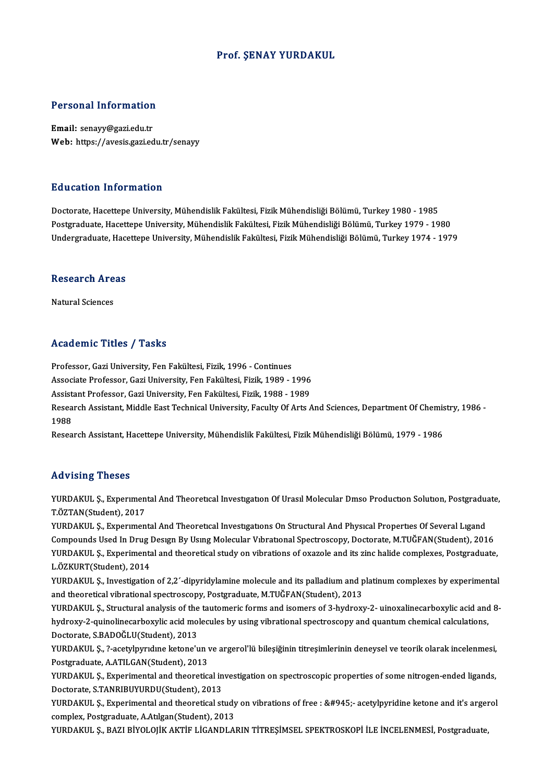#### Prof. ŞENAY YURDAKUL

# Personal Information

Personal Information<br>Email: senayy@gazi.edu.tr<br>Web: https://ayesis.gari.ed Email: senayy@gazi.edu.tr<br>Web: https://avesis.gazi.edu.tr/senayy

#### Education Information

**Education Information<br>Doctorate, Hacettepe University, Mühendislik Fakültesi, Fizik Mühendisliği Bölümü, Turkey 1980 - 1985<br>Postaraduata Hacettepe University, Mühendislik Fakültesi, Fizik Mühendisliği Bölümü, Turkey 1979** Pu u sutrom minominusion<br>Doctorate, Hacettepe University, Mühendislik Fakültesi, Fizik Mühendisliği Bölümü, Turkey 1980 - 1985<br>Undergraduate, Hacettepe University, Mühendislik Fakültesi, Fizik Mühendisliği Bölümü, Turkey 1 Postgraduate, Hacettepe University, Mühendislik Fakültesi, Fizik Mühendisliği Bölümü, Turkey 1979 - 1980<br>Undergraduate, Hacettepe University, Mühendislik Fakültesi, Fizik Mühendisliği Bölümü, Turkey 1974 - 1979

## ondergraduate, nace<br>Research Areas <mark>Research Are</mark><br>Natural Sciences

## Natural Sciences<br>Academic Titles / Tasks

Professor, Gazi University, Fen Fakültesi, Fizik, 1996 - Continues

-<br>Professor, Gazi University, Fen Fakültesi, Fizik, 1996 - Continues<br>Associate Professor, Gazi University, Fen Fakültesi, Fizik, 1989 - 1996<br>Assistant Professor, Cari University, Fen Fakültesi, Fizik, 1999 - 1999 Professor, Gazi University, Fen Fakültesi, Fizik, 1996 - Continues<br>Associate Professor, Gazi University, Fen Fakültesi, Fizik, 1989 - 1996<br>Assistant Professor, Gazi University, Fen Fakültesi, Fizik, 1988 - 1989<br>Besearch As

Associate Professor, Gazi University, Fen Fakültesi, Fizik, 1989 - 1996<br>Assistant Professor, Gazi University, Fen Fakültesi, Fizik, 1988 - 1989<br>Research Assistant, Middle East Technical University, Faculty Of Arts And Scie Assist<br>Resea<br>1988<br>Besea Research Assistant, Middle East Technical University, Faculty Of Arts And Sciences, Department Of Chemis<br>1988<br>Research Assistant, Hacettepe University, Mühendislik Fakültesi, Fizik Mühendisliği Bölümü, 1979 - 1986

Research Assistant, Hacettepe University, Mühendislik Fakültesi, Fizik Mühendisliği Bölümü, 1979 - 1986<br>Advising Theses

Advising Theses<br>YURDAKUL Ş., Experimental And Theoretical Investigation Of Urasil Molecular Dmso Production Solution, Postgraduate,<br>T.ÖZTAN(Student), 2017 T.G. J. ST. ST. ST.<br>T.ÖZTAN(Student), 2017<br>VURDAKUL S. Exportmen YURDAKUL Ş., Experimental And Theoretical Investigation Of Urasil Molecular Dmso Production Solution, Postgradu<br>T.ÖZTAN(Student), 2017<br>YURDAKUL Ş., Experimental And Theoretical Investigations On Structural And Physical Pro

T.ÖZTAN(Student), 2017<br>YURDAKUL Ş., Experimental And Theoretical Investigations On Structural And Physical Properties Of Several Ligand<br>Compounds Used In Drug Design By Using Molecular Vibrational Spectroscopy, Doctorate, YURDAKUL Ș., Experimental And Theoretical Investigations On Structural And Physical Properties Of Several Ligand<br>Compounds Used In Drug Design By Using Molecular Vibrational Spectroscopy, Doctorate, M.TUĞFAN(Student), 2016 Compounds Used In Drug I<br>YURDAKUL Ş., Experimenta<br>L.ÖZKURT(Student), 2014<br>YURDAKUL S., Investigation YURDAKUL Ş., Experimental and theoretical study on vibrations of oxazole and its zinc halide complexes, Postgraduate,<br>L.ÖZKURT(Student), 2014<br>YURDAKUL Ş., Investigation of 2,2´-dipyridylamine molecule and its palladium and

L.ÖZKURT(Student), 2014<br>YURDAKUL \$., Investigation of 2,2´-dipyridylamine molecule and its palladium and platinum complexes by experimental<br>and theoretical vibrational spectroscopy, Postgraduate, M.TUĞFAN(Student), 2013<br>YU YURDAKUL Ş., Investigation of 2,2'-dipyridylamine molecule and its palladium and platinum complexes by experimental

hydroxy-2-quinolinecarboxylic acid molecules by using vibrational spectroscopy and quantum chemical calculations, YURDAKUL Ş., Structural analysis of the<br>hydroxy-2-quinolinecarboxylic acid mo<br>Doctorate, S.BADOĞLU(Student), 2013<br>YURDAKUL S. 3 asetylnyydna katona<sup>l</sup>ı

YURDAKUL Ş., ?-acetylpyrıdıne ketone'un ve argerol'lü bileşiğinin titreşimlerinin deneysel ve teorik olarak incelenmesi,<br>Postgraduate, A.ATILGAN(Student), 2013 Doctorate, S.BADOĞLU(Student), 2013<br>YURDAKUL Ş., ?-acetylpyrıdıne ketone'un v<br>Postgraduate, A.ATILGAN(Student), 2013<br>YURDAKUL S., Evnerimentel and theoretics YURDAKUL Ş., ?-acetylpyrıdıne ketone'un ve argerol'lü bileşiğinin titreşimlerinin deneysel ve teorik olarak incelenmesi,<br>Postgraduate, A.ATILGAN(Student), 2013<br>YURDAKUL Ş., Experimental and theoretical investigation on spe

Postgraduate, A.ATILGAN(Student), 2013<br>YURDAKUL Ş., Experimental and theoretical in<br>Doctorate, S.TANRIBUYURDU(Student), 2013<br>YURDAKUL S. Experimental and theoretical st YURDAKUL Ş., Experimental and theoretical investigation on spectroscopic properties of some nitrogen-ended ligands,<br>Doctorate, S.TANRIBUYURDU(Student), 2013<br>YURDAKUL Ş., Experimental and theoretical study on vibrations of

Doctorate, S.TANRIBUYURDU(Student), 2013<br>YURDAKUL Ş., Experimental and theoretical study on vibrations of free : &#945;- acetylpyridine ketone and it's arger<br>complex, Postgraduate, A.Atılgan(Student), 2013<br>YURDAKUL S., BAZ YURDAKUL Ş., Experimental and theoretical study on vibrations of free : α- acetylpyridine ketone and it's argerol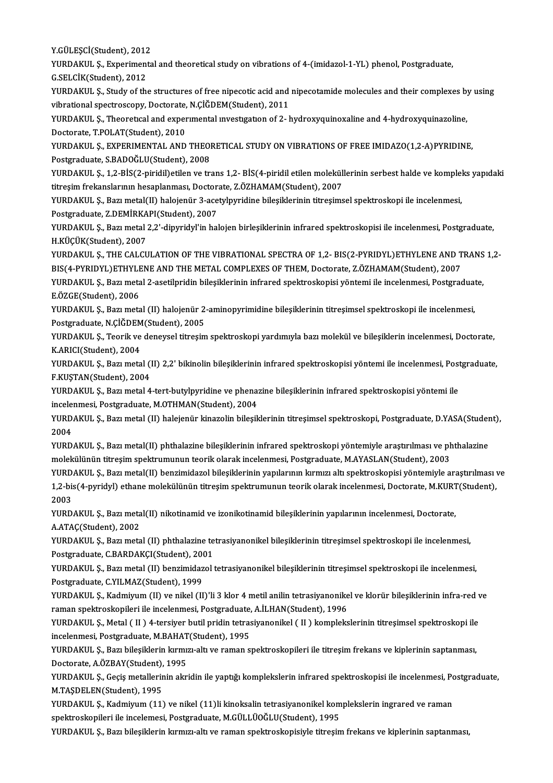Y.GÜLEŞCİ(Student), 2012<br>Y.GÜLEŞCİ(Student), 2012<br>YURDAKUL S., Evnerimenta

YURDAKUL Ş., Experimental and theoretical study on vibrations of 4-(imidazol-1-YL) phenol, Postgraduate,<br>G.SELCİK(Student), 2012 Y.GÜLEŞCİ(Student), 2012<br>YURDAKUL Ş., Experiment<br>G.SELCİK(Student), 2012<br>YURDAKUL S. Study of th YURDAKUL Ş., Experimental and theoretical study on vibrations of 4-(imidazol-1-YL) phenol, Postgraduate,<br>G.SELCİK(Student), 2012<br>YURDAKUL Ş., Study of the structures of free nipecotic acid and nipecotamide molecules and th

G.SELCİK(Student), 2012<br>YURDAKUL Ş., Study of the structures of free nipecotic acid and<br>vibrational spectroscopy, Doctorate, N.ÇİĞDEM(Student), 2011<br>VURDAKUL S., Theoratical and experimental investigation of 3, b YURDAKUL Ş., Study of the structures of free nipecotic acid and nipecotamide molecules and their complexes by<br>vibrational spectroscopy, Doctorate, N.ÇİĞDEM(Student), 2011<br>YURDAKUL Ş., Theoretical and experimental investiga

vibrational spectroscopy, Doctorate, N.ÇİĞDEM(Student), 2011<br>YURDAKUL Ş., Theoretical and experimental investigation of 2- hydroxyquinoxaline and 4-hydroxyquinazoline,<br>Doctorate, T.POLAT(Student), 2010 YURDAKUL Ş., Theoretical and experimental investigation of 2- hydroxyquinoxaline and 4-hydroxyquinazoline,<br>Doctorate, T.POLAT(Student), 2010<br>YURDAKUL Ş., EXPERIMENTAL AND THEORETICAL STUDY ON VIBRATIONS OF FREE IMIDAZO(1,2

Doctorate, T.POLAT(Student), 2010<br>YURDAKUL Ş., EXPERIMENTAL AND THEOI<br>Postgraduate, S.BADOĞLU(Student), 2008<br>YURDAKUL S. 1.2 BİS(2 niridil) atilan ve tr YURDAKUL Ş., EXPERIMENTAL AND THEORETICAL STUDY ON VIBRATIONS OF FREE IMIDAZO(1,2-A)PYRIDINE,<br>Postgraduate, S.BADOĞLU(Student), 2008<br>YURDAKUL Ş., 1,2-BİS(2-piridil)etilen ve trans 1,2- BİS(4-piridil etilen moleküllerinin s

Postgraduate, S.BADOĞLU(Student), 2008<br>YURDAKUL Ş., 1,2-BİS(2-piridil)etilen ve trans 1,2- BİS(4-piridil etilen moleküll<br>titreşim frekanslarının hesaplanması, Doctorate, Z.ÖZHAMAM(Student), 2007<br>YURDAKUL S. Beru metal(II) YURDAKUL Ş., 1,2-BİS(2-piridil)etilen ve trans 1,2- BİS(4-piridil etilen moleküllerinin serbest halde ve komplel<br>titreşim frekanslarının hesaplanması, Doctorate, Z.ÖZHAMAM(Student), 2007<br>YURDAKUL Ş., Bazı metal(II) halojen

titreşim frekanslarının hesaplanması, Doctorate, Z.ÖZHAMAM(Student), 2007<br>YURDAKUL Ş., Bazı metal(II) halojenür 3-acetylpyridine bileşiklerinin titreşimsel spektroskopi ile incelenmesi,<br>Postgraduate, Z.DEMİRKAPI(Student), YURDAKUL Ş., Bazı metal(II) halojenür 3-acetylpyridine bileşiklerinin titreşimsel spektroskopi ile incelenmesi,<br>Postgraduate, Z.DEMİRKAPI(Student), 2007<br>YURDAKUL Ş., Bazı metal 2,2'-dipyridyl'in halojen birleşiklerinin inf

Postgraduate, Z.DEMİRKA<br>YURDAKUL Ş., Bazı metal<br>H.KÜÇÜK(Student), 2007<br>YURDAKUL S., THE CALCI YURDAKUL Ş., Bazı metal 2,2'-dipyridyl'in halojen birleşiklerinin infrared spektroskopisi ile incelenmesi, Postgraduate,<br>H.KÜÇÜK(Student), 2007<br>YURDAKUL Ş., THE CALCULATION OF THE VIBRATIONAL SPECTRA OF 1,2- BIS(2-PYRIDYL)

H.KÜÇÜK(Student), 2007<br>YURDAKUL Ş., THE CALCULATION OF THE VIBRATIONAL SPECTRA OF 1,2- BIS(2-PYRIDYL)ETHYLENE AND T<br>BIS(4-PYRIDYL)ETHYLENE AND THE METAL COMPLEXES OF THEM, Doctorate, Z.ÖZHAMAM(Student), 2007<br>YURDAKUL S., P YURDAKUL Ş., THE CALCULATION OF THE VIBRATIONAL SPECTRA OF 1,2- BIS(2-PYRIDYL)ETHYLENE AND TRANS<br>BIS(4-PYRIDYL)ETHYLENE AND THE METAL COMPLEXES OF THEM, Doctorate, Z.ÖZHAMAM(Student), 2007<br>YURDAKUL Ş., Bazı metal 2-asetilp

BIS(4-PYRIDYL)ETHYLENE AND THE METAL COMPLEXES OF THEM, Doctorate, Z.ÖZHAMAM(Student), 2007<br>YURDAKUL Ş., Bazı metal 2-asetilpridin bileşiklerinin infrared spektroskopisi yöntemi ile incelenmesi, Postgraduate,<br>E.ÖZGE(Studen YURDAKUL Ş., Bazı metal 2-asetilpridin bileşiklerinin infrared spektroskopisi yöntemi ile incelenmesi, Postgraduat<br>E.ÖZGE(Student), 2006<br>YURDAKUL Ş., Bazı metal (II) halojenür 2-aminopyrimidine bileşiklerinin titreşimsel s

E.ÖZGE(Student), 2006<br>YURDAKUL Ş., Bazı metal (II) halojenür 2<br>Postgraduate, N.ÇİĞDEM(Student), 2005<br>YURDAKUL S. Toorik ve danavçel titresir YURDAKUL Ş., Bazı metal (II) halojenür 2-aminopyrimidine bileşiklerinin titreşimsel spektroskopi ile incelenmesi,<br>Postgraduate, N.ÇİĞDEM(Student), 2005<br>YURDAKUL Ş., Teorik ve deneysel titreşim spektroskopi yardımıyla bazı

Postgraduate, N.ÇİĞDEM(Student), 2005<br>YURDAKUL Ş., Teorik ve deneysel titreşim spektroskopi yardımıyla bazı molekül ve bileşiklerin incelenmesi, Doctorate,<br>K.ARICI(Student), 2004 YURDAKUL Ş., Teorik ve deneysel titreşim spektroskopi yardımıyla bazı molekül ve bileşiklerin incelenmesi, Doctorate,<br>K.ARICI(Student), 2004<br>YURDAKUL Ş., Bazı metal (II) 2,2' bikinolin bileşiklerinin infrared spektroskopis

K.ARICI(Student), 2004<br>YURDAKUL Ş., Bazı metal (1<br>F.KUŞTAN(Student), 2004<br>YURDAKUL S., Bazı metal 4 YURDAKUL Ş., Bazı metal (II) 2,2' bikinolin bileşiklerinin infrared spektroskopisi yöntemi ile incelenmesi, Post<br>F.KUŞTAN(Student), 2004<br>YURDAKUL Ş., Bazı metal 4-tert-butylpyridine ve phenazine bileşiklerinin infrared spe

F.KUŞTAN(Student), 2004<br>YURDAKUL Ş., Bazı metal 4-tert-butylpyridine ve phenazine bileşiklerinin infrared spektroskopisi yöntemi ile YURDAKUL Ş., Bazı metal 4-tert-butylpyridine ve phenazine bileşiklerinin infrared spektroskopisi yöntemi ile<br>incelenmesi, Postgraduate, M.OTHMAN(Student), 2004<br>YURDAKUL Ş., Bazı metal (II) halejenür kinazolin bileşiklerini

incelenmesi, Postgraduate, M.OTHMAN(Student), 2004<br>YURDAKUL Ş., Bazı metal (II) halejenür kinazolin bileşil<br>2004 YURDAKUL Ş., Bazı metal (II) halejenür kinazolin bileşiklerinin titreşimsel spektroskopi, Postgraduate, D.YASA(Studer<br>2004<br>YURDAKUL Ş., Bazı metal(II) phthalazine bileşiklerinin infrared spektroskopi yöntemiyle araştırılma

YURDAKUL Ș., Bazı metal(II) phthalazine bileşiklerinin infrared spektroskopi yöntemiyle araştırılması ve phthalazine<br>molekülünün titreşim spektrumunun teorik olarak incelenmesi, Postgraduate, M.AYASLAN(Student), 2003

YURDAKUL Ş., Bazı metal(II) benzimidazol bileşiklerinin yapılarının kırmızı altı spektroskopisi yöntemiyle araştırılması ve

molekülünün titreşim spektrumunun teorik olarak incelenmesi, Postgraduate, M.AYASLAN(Student), 2003<br>YURDAKUL Ş., Bazı metal(II) benzimidazol bileşiklerinin yapılarının kırmızı altı spektroskopisi yöntemiyle araştırılması v **YURD.<br>1,2-bi:<br>2003**<br>VURD 1,2-bis(4-pyridyl) ethane molekülünün titreşim spektrumunun teorik olarak incelenmesi, Doctorate, M.KURT<br>2003<br>YURDAKUL Ş., Bazı metal(II) nikotinamid ve izonikotinamid bileşiklerinin yapılarının incelenmesi, Doctorate,<br>A A

2003<br>YURDAKUL Ş., Bazı metal(II) nikotinamid ve izonikotinamid bileşiklerinin yapılarının incelenmesi, Doctorate,<br>A.ATAC(Student). 2002

YURDAKUL Ş., Bazı metal (II) phthalazine tetrasiyanonikel bileşiklerinin titreşimsel spektroskopi ile incelenmesi, A.ATAÇ(Student), 2002<br>YURDAKUL Ş., Bazı metal (II) phthalazine te<br>Postgraduate, C.BARDAKÇI(Student), 2001<br>YURDAKUL S., Bazı metal (II) banzimidazel i

YURDAKUL Ş., Bazı metal (II) benzimidazol tetrasiyanonikel bileşiklerinin titreşimsel spektroskopi ile incelenmesi,<br>Postgraduate, C.YILMAZ(Student), 1999 Postgraduate, C.BARDAKÇI(Student), 20<br>YURDAKUL Ş., Bazı metal (II) benzimidaz<br>Postgraduate, C.YILMAZ(Student), 1999<br>YURDAKUL S. Kadminum (II) və nikəl (II YURDAKUL Ş., Bazı metal (II) benzimidazol tetrasiyanonikel bileşiklerinin titreşimsel spektroskopi ile incelenmesi,<br>Postgraduate, C.YILMAZ(Student), 1999<br>YURDAKUL Ş., Kadmiyum (II) ve nikel (II)'li 3 klor 4 metil anilin te

Postgraduate, C.YILMAZ(Student), 1999<br>YURDAKUL Ş., Kadmiyum (II) ve nikel (II)'li 3 klor 4 metil anilin tetrasiyanonike<br>raman spektroskopileri ile incelenmesi, Postgraduate, A.İLHAN(Student), 1996<br>YURDAKUL S. Metal (JL) 4 YURDAKUL Ş., Kadmiyum (II) ve nikel (II)'li 3 klor 4 metil anilin tetrasiyanonikel ve klorür bileşiklerinin infra-red v<br>raman spektroskopileri ile incelenmesi, Postgraduate, A.İLHAN(Student), 1996<br>YURDAKUL Ş., Metal ( II )

raman spektroskopileri ile incelenmesi, Postgraduate, A.İLHAN(Student), 1996<br>YURDAKUL Ş., Metal ( II ) 4-tersiyer butil pridin tetrasiyanonikel ( II ) komplekslerinin titreşimsel spektroskopi ile<br>incelenmesi, Postgraduate, YURDAKUL Ş., Metal (II) 4-tersiyer butil pridin tetrasiyanonikel (II) komplekslerinin titreşimsel spektroskopi ile incelenmesi, Postgraduate, M.BAHAT(Student), 1995<br>YURDAKUL Ş., Bazı bileşiklerin kırmızı-altı ve raman spek incelenmesi, Postgraduate, M.BAHAT(Student), 1995

YURDAKUL Ş., Bazı bileşiklerin kırmızı-altı ve raman spektroskopileri ile titreşim frekans ve kiplerinin saptanması,<br>Doctorate, A.ÖZBAY(Student), 1995<br>YURDAKUL Ş., Geçiş metallerinin akridin ile yaptığı komplekslerin infra

Doctorate, A.ÖZBAY(Student),<br>YURDAKUL Ş., Geçiş metallerir<br>M.TAŞDELEN(Student), 1995<br>YURDAKUL S. Kedmirum (11) YURDAKUL Ș., Geçiş metallerinin akridin ile yaptığı komplekslerin infrared spektroskopisi ile incelenmesi, Po<br>M.TAŞDELEN(Student), 1995<br>YURDAKUL Ş., Kadmiyum (11) ve nikel (11)li kinoksalin tetrasiyanonikel komplekslerin i

M.TAŞDELEN(Student), 1995<br>YURDAKUL Ş., Kadmiyum (11) ve nikel (11)li kinoksalin tetrasiyanonikel komplekslerin ingrared ve raman<br>spektroskopileri ile incelemesi, Postgraduate, M.GÜLLÜOĞLU(Student), 1995

YURDAKUL Ş., Bazı bileşiklerin kırmızı-altı ve raman spektroskopisiyle titreşim frekans ve kiplerinin saptanması,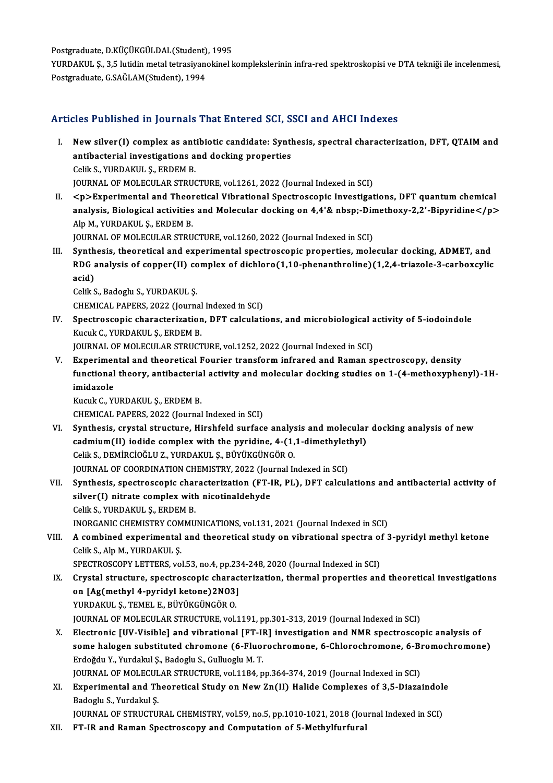Postgraduate, D.KÜÇÜKGÜLDAL(Student), 1995<br>YURDAKULS, 25 lutidir metal tetresiyanelimel b

YURDAKUL Ş., 3,5 lutidin metal tetrasiyanokinel komplekslerinin infra-red spektroskopisi ve DTA tekniği ile incelenmesi,<br>Postgraduate, G.SAĞLAM(Student), 1994 Postgraduate, D.KÜÇÜKGÜLDAL(Student)<br>YURDAKUL Ş., 3,5 lutidin metal tetrasiyan<br>Postgraduate, G.SAĞLAM(Student), 1994

### Articles Published in Journals That Entered SCI, SSCI and AHCI Indexes

- Tricles Published in Journals That Entered SCI, SSCI and AHCI Indexes<br>I. New silver(I) complex as antibiotic candidate: Synthesis, spectral characterization, DFT, QTAIM and<br>antibacterial investigations and docking proporti New silver(I) complex as antibiotic candidate: Synthetistic state of the state of the synthetistic state of the synthetic state of the Synthetistic state of the Synthetistic state of the Synthetistic state of the Synthetis New silver(I) complex as ant<br>antibacterial investigations a<br>Celik S., YURDAKUL Ş., ERDEM B.<br>JOURNAL OF MOLECULAR STRUG antibacterial investigations and docking properties<br>Celik S., YURDAKUL Ş., ERDEM B.<br>JOURNAL OF MOLECULAR STRUCTURE, vol.1261, 2022 (Journal Indexed in SCI) Celik S., YURDAKUL Ş., ERDEM B.<br>JOURNAL OF MOLECULAR STRUCTURE, vol.1261, 2022 (Journal Indexed in SCI)<br>II. <p>Experimental and Theoretical Vibrational Spectroscopic Investigations, DFT quantum chemical<br>analysis. Biologisa
- JOURNAL OF MOLECULAR STRUCTURE, vol.1261, 2022 (Journal Indexed in SCI)<br><p>Experimental and Theoretical Vibrational Spectroscopic Investigations, DFT quantum chemical<br>analysis, Biological activities and Molecular docking o *<p>Experimental and Theor<br>analysis, Biological activities<br>Alp M., YURDAKUL S., ERDEM B.<br>JOURNAL OF MOLECULAR STRU* analysis, Biological activities and Molecular docking on 4,4'& nbsp;-Din<br>Alp M., YURDAKUL Ş., ERDEM B.<br>JOURNAL OF MOLECULAR STRUCTURE, vol.1260, 2022 (Journal Indexed in SCI)<br>Synthesis, theoretical and experimental apertre Alp M., YURDAKUL Ş., ERDEM B.<br>JOURNAL OF MOLECULAR STRUCTURE, vol.1260, 2022 (Journal Indexed in SCI)<br>III. Synthesis, theoretical and experimental spectroscopic properties, molecular docking, ADMET, and

JOURNAL OF MOLECULAR STRUCTURE, vol.1260, 2022 (Journal Indexed in SCI)<br>Synthesis, theoretical and experimental spectroscopic properties, molecular docking, ADMET, and<br>RDG analysis of copper(II) complex of dichloro(1,10-ph Synth<br>RDG a<br>acid)<br>Colik S RDG analysis of copper(II) co<br>acid)<br>Celik S., Badoglu S., YURDAKUL Ş.<br>CHEMICAL BARERS 2022 (Journa acid)<br>Celik S., Badoglu S., YURDAKUL Ş.<br>CHEMICAL PAPERS, 2022 (Journal Indexed in SCI)<br>Spestressenis sharesterization, DET selevleti

- Celik S., Badoglu S., YURDAKUL Ș.<br>CHEMICAL PAPERS, 2022 (Journal Indexed in SCI)<br>IV. Spectroscopic characterization, DFT calculations, and microbiological activity of 5-iodoindole<br>Kuguk G. YURDAKULS, ERDEM B CHEMICAL PAPERS, 2022 (Journal<br>Spectroscopic characterization<br>Kucuk C., YURDAKUL Ş., ERDEM B.<br>JOUPNAL OF MOLECULAR STRUCT Spectroscopic characterization, DFT calculations, and microbiological a<br>Kucuk C., YURDAKUL Ş., ERDEM B.<br>JOURNAL OF MOLECULAR STRUCTURE, vol.1252, 2022 (Journal Indexed in SCI)<br>Experimental and theoratical Equrior transform Kucuk C., YURDAKUL Ș., ERDEM B.<br>JOURNAL OF MOLECULAR STRUCTURE, vol.1252, 2022 (Journal Indexed in SCI)<br>V. Experimental and theoretical Fourier transform infrared and Raman spectroscopy, density<br>functional theory, antibact
- JOURNAL OF MOLECULAR STRUCTURE, vol.1252, 2022 (Journal Indexed in SCI)<br>Experimental and theoretical Fourier transform infrared and Raman spectroscopy, density<br>functional theory, antibacterial activity and molecular dockin Experimer<br>functional<br>imidazole<br>Kucuk C. VI

KucukC.,YURDAKUL Ş.,ERDEMB.

CHEMICAL PAPERS, 2022 (Journal Indexed in SCI)

- VI. Synthesis, crystal structure, Hirshfeld surface analysis andmolecular docking analysis of new CHEMICAL PAPERS, 2022 (Journal Indexed in SCI)<br>Synthesis, crystal structure, Hirshfeld surface analysis and molecular<br>cadmium(II) iodide complex with the pyridine, 4-(1,1-dimethylethyl)<br>Celik S. DEMIRCIOČI U.Z. VURDAKUL S. Synthesis, crystal structure, Hirshfeld surface analys<br>cadmium(II) iodide complex with the pyridine, 4-(1,<br>Celik S., DEMİRCİOĞLU Z., YURDAKUL Ş., BÜYÜKGÜNGÖR O.<br>JOURNAL OE COORDINATION CHEMISTRY 2022 (Journal I. cadmium(II) iodide complex with the pyridine, 4-(1,1-dimethylet<br>Celik S., DEMIRCIOĞLU Z., YURDAKUL Ş., BÜYÜKGÜNGÖR O.<br>JOURNAL OF COORDINATION CHEMISTRY, 2022 (Journal Indexed in SCI)<br>Synthesis, apestrossonis sharestariyati Celik S., DEMİRCİOĞLU Z., YURDAKUL Ş., BÜYÜKGÜNGÖR O.<br>JOURNAL OF COORDINATION CHEMISTRY, 2022 (Journal Indexed in SCI)<br>VII. Synthesis, spectroscopic characterization (FT-IR, PL), DFT calculations and antibacterial activity JOURNAL OF COORDINATION CHEMISTRY, 2022 (Journal Indexed in SCI)
- CelikS.,YURDAKUL Ş.,ERDEMB. silver(I) nitrate complex with nicotinaldehyde<br>Celik S., YURDAKUL S., ERDEM B.<br>INORGANIC CHEMISTRY COMMUNICATIONS, vol.131, 2021 (Journal Indexed in SCI)<br>A combined experimental and theoretical study on uibrational spectre
- VIII. A combined experimental and theoretical study on vibrational spectra of 3-pyridyl methyl ketone<br>Celik S., Alp M., YURDAKUL S. INORGANIC CHEMISTRY COM<br>A combined experimental<br>Celik S., Alp M., YURDAKUL Ş.<br>SPECTPOSCOPY LETTERS YO A combined experimental and theoretical study on vibrational spectra of<br>Celik S., Alp M., YURDAKUL Ş.<br>SPECTROSCOPY LETTERS, vol.53, no.4, pp.234-248, 2020 (Journal Indexed in SCI)<br>Crystal structure, spectroscopis character

- IX. Crystal structure, spectroscopic characterization, thermal properties and theoretical investigations SPECTROSCOPY LETTERS, vol.53, no.4, pp.23<br>Crystal structure, spectroscopic charac<br>on [Ag(methyl 4-pyridyl ketone)2NO3]<br>VIPDAKULS, TEMELE, PÜVÜKCÜNCÖR Q on [Ag(methyl 4-pyridyl ketone)2N03]<br>YURDAKUL Ş., TEMEL E., BÜYÜKGÜNGÖR O. JOURNAL OF MOLECULAR STRUCTURE, vol.1191, pp.301-313, 2019 (Journal Indexed in SCI) YURDAKUL Ș., TEMEL E., BÜYÜKGÜNGÖR O.<br>JOURNAL OF MOLECULAR STRUCTURE, vol.1191, pp.301-313, 2019 (Journal Indexed in SCI)<br>X. Electronic [UV-Visible] and vibrational [FT-IR] investigation and NMR spectroscopic analysis of<br>s
- JOURNAL OF MOLECULAR STRUCTURE, vol.1191, pp.301-313, 2019 (Journal Indexed in SCI)<br>Electronic [UV-Visible] and vibrational [FT-IR] investigation and NMR spectroscopic analysis of<br>some halogen substituted chromone (6-Fluor Electronic [UV-Visible] and vibrational [FT-II<br>some halogen substituted chromone (6-Fluo)<br>Erdoğdu Y., Yurdakul Ş., Badoglu S., Gulluoglu M. T.<br>JOUPMAL OF MOLECULAR STRUCTURE vol.1194 n some halogen substituted chromone (6-Fluorochromone, 6-Chlorochromone, 6-B1<br>Erdoğdu Y., Yurdakul Ş., Badoglu S., Gulluoglu M. T.<br>JOURNAL OF MOLECULAR STRUCTURE, vol.1184, pp.364-374, 2019 (Journal Indexed in SCI)<br>Eunonimen Erdoğdu Y., Yurdakul Ş., Badoglu S., Gulluoglu M. T.<br>JOURNAL OF MOLECULAR STRUCTURE, vol.1184, pp.364-374, 2019 (Journal Indexed in SCI)<br>XI. Experimental and Theoretical Study on New Zn(II) Halide Complexes of 3,5-Diazaind
- JOURNAL OF MOLECULAR STRUCTURE, vol.1184, pp.364-374, 2019 (Journal Indexed in SCI)<br>Experimental and Theoretical Study on New Zn(II) Halide Complexes of 3,5-Diazaindol<br>Badoglu S., Yurdakul Ş.<br>JOURNAL OF STRUCTURAL CHEMISTR Experimental and Theoretical Study on New Zn(II) Halide Complexes of 3,5-Diazaindolo<br>Badoglu S., Yurdakul Ş.<br>JOURNAL OF STRUCTURAL CHEMISTRY, vol.59, no.5, pp.1010-1021, 2018 (Journal Indexed in SCI)<br>ET IB and Baman Spectr

XII. FT-IR and Raman Spectroscopy and Computation of 5-Methylfurfural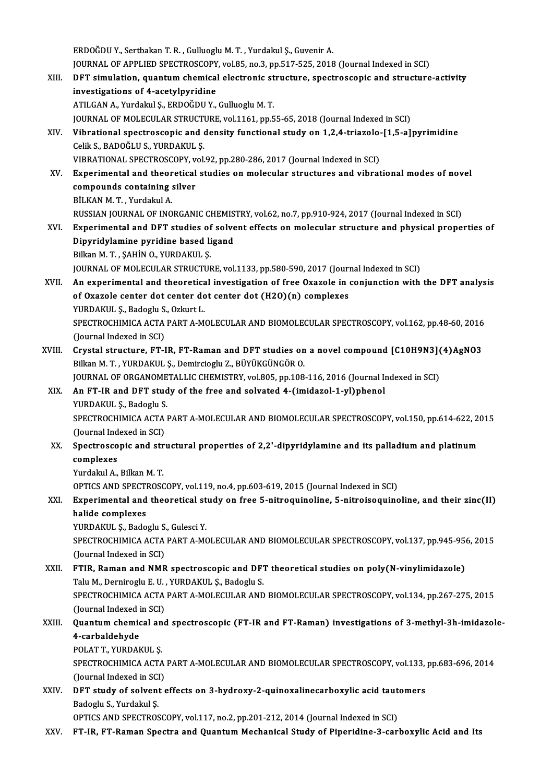ERDOĞDUY.,SertbakanT.R. ,GuluogluM.T. ,YurdakulŞ.,GuvenirA. JOURNAL OF APPLIED SPECTROSCOPY, vol.85, no.3, pp.517-525, 2018 (Journal Indexed in SCI) ERDOĞDU Y., Sertbakan T. R. , Gulluoglu M. T. , Yurdakul Ş., Guvenir A.<br>JOURNAL OF APPLIED SPECTROSCOPY, vol.85, no.3, pp.517-525, 2018 (Journal Indexed in SCI)<br>XIII. DFT simulation, quantum chemical electronic structure, **JOURNAL OF APPLIED SPECTROSCOPY<br>DFT simulation, quantum chemical<br>investigations of 4-acetylpyridine** DFT simulation, quantum chemical electronic st<br>investigations of 4-acetylpyridine<br>ATILGAN A., Yurdakul Ş., ERDOĞDU Y., Gulluoglu M. T.<br>JOUPMAL OF MOLECULAR STRUCTURE vol.1161. np.5 investigations of 4-acetylpyridine<br>ATILGAN A., Yurdakul Ş., ERDOĞDU Y., Gulluoglu M. T.<br>JOURNAL OF MOLECULAR STRUCTURE, vol.1161, pp.55-65, 2018 (Journal Indexed in SCI) ATILGAN A., Yurdakul Ş., ERDOĞDU Y., Gulluoglu M. T.<br>JOURNAL OF MOLECULAR STRUCTURE, vol.1161, pp.55-65, 2018 (Journal Indexed in SCI)<br>XIV. Vibrational spectroscopic and density functional study on 1,2,4-triazolo-[1,5-**JOURNAL OF MOLECULAR STRUCT<br>Vibrational spectroscopic and <br>Celik S., BADOĞLU S., YURDAKUL Ş.<br>VIBRATIONAL SPECTROSCOPY vol.** Vibrational spectroscopic and density functional study on 1,2,4-triazolo-<br>Celik S., BADOĞLU S., YURDAKUL Ş.<br>VIBRATIONAL SPECTROSCOPY, vol.92, pp.280-286, 2017 (Journal Indexed in SCI)<br>Experimental and theoratical studies o Celik S., BADOĞLU S., YURDAKUL Ş.<br>VIBRATIONAL SPECTROSCOPY, vol.92, pp.280-286, 2017 (Journal Indexed in SCI)<br>XV. Experimental and theoretical studies on molecular structures and vibrational modes of novel<br>compounds co VIBRATIONAL SPECTROSCOPY, vol.92, pp.280-286, 2017 (Journal Indexed in SCI)<br>Experimental and theoretical studies on molecular structures and vibrat<br>compounds containing silver<br>BİLKAN M.T., Yurdakul A. Experimental and theor<br>compounds containing<br>BİLKAN M.T., Yurdakul A.<br>PUSSIAN JOUPNAL OF INO RUSSIAN JOURNAL OF INORGANIC CHEMISTRY, vol.62, no.7, pp.910-924, 2017 (Journal Indexed in SCI) BİLKAN M. T. , Yurdakul A.<br>RUSSIAN JOURNAL OF INORGANIC CHEMISTRY, vol.62, no.7, pp.910-924, 2017 (Journal Indexed in SCI)<br>XVI. Experimental and DFT studies of solvent effects on molecular structure and physical proper RUSSIAN JOURNAL OF INORGANIC CHEMIS<br>Experimental and DFT studies of solve<br>Dipyridylamine pyridine based ligand<br>Billon M.T., SAHIN O, VURDAKULS Experimental and DFT studies of<br>Dipyridylamine pyridine based li<br>Bilkan M.T., ŞAHİN O., YURDAKUL Ş.<br>JOUPNAL OF MOLECULAR STRUCTUL Dipyridylamine pyridine based ligand<br>1997 - Bilkan M. T. , ŞAHİN O., YURDAKUL Ş.<br>1900RNAL OF MOLECULAR STRUCTURE, vol.1133, pp.580-590, 2017 (Journal Indexed in SCI) Bilkan M. T. , ŞAHİN O., YURDAKUL Ş.<br>JOURNAL OF MOLECULAR STRUCTURE, vol.1133, pp.580-590, 2017 (Journal Indexed in SCI)<br>XVII. An experimental and theoretical investigation of free Oxazole in conjunction with the DFT analy JOURNAL OF MOLECULAR STRUCTURE, vol.1133, pp.580-590, 2017 (Journ<br>An experimental and theoretical investigation of free Oxazole in of Oxazole center dot center dot center dot (H2O)(n) complexes<br>VURDAVIU S. Padaghy S. Orlan An experimental and theoretica<br>of Oxazole center dot center do<br>YURDAKUL Ş., Badoglu S., Ozkurt L.<br>SPECTROCHIMICA ACTA BART A M of Oxazole center dot center dot center dot (H2O)(n) complexes<br>YURDAKUL Ş., Badoglu S., Ozkurt L.<br>SPECTROCHIMICA ACTA PART A-MOLECULAR AND BIOMOLECULAR SPECTROSCOPY, vol.162, pp.48-60, 2016<br>(Journal Indexed in SCI) YURDAKUL Ş., Badoglu S., Ozkurt L. SPECTROCHIMICA ACTA PART A-MOLECULAR AND BIOMOLECULAR SPECTROSCOPY, vol.162, pp.48-60, 2016<br>(Journal Indexed in SCI)<br>XVIII. Crystal structure, FT-IR, FT-Raman and DFT studies on a novel compound [C10H9N3](4)AgNO3<br>Pilken M. (Journal Indexed in SCI)<br>Crystal structure, FT-IR, FT-Raman and DFT studies on<br>Bilkan M. T. , YURDAKUL Ş., Demircioglu Z., BÜYÜKGÜNGÖR O.<br>JOURNAL OF OPCANOMETALLIC CHEMISTPY, vol 805, pp.108 Crystal structure, FT-IR, FT-Raman and DFT studies on a novel compound [C10H9N3] (<br>Bilkan M. T. , YURDAKUL Ş., Demircioglu Z., BÜYÜKGÜNGÖR O.<br>JOURNAL OF ORGANOMETALLIC CHEMISTRY, vol.805, pp.108-116, 2016 (Journal Indexed Bilkan M. T. , YURDAKUL Ş., Demircioglu Z., BÜYÜKGÜNGÖR O.<br>JOURNAL OF ORGANOMETALLIC CHEMISTRY, vol.805, pp.108-116, 2016 (Journal Ir<br>XIX. An FT-IR and DFT study of the free and solvated 4-(imidazol-1-yl)phenol JOURNAL OF ORGANOMETALLIC CHEMISTRY, vol.805, pp.108-116, 2016 (Journal Indexed in SCI) SPECTROCHIMICA ACTA PART A-MOLECULAR AND BIOMOLECULAR SPECTROSCOPY, vol.150, pp.614-622, 2015 YURDAKUL S., Badoglu S. SPECTROCHIMICA ACTA PART A-MOLECULAR AND BIOMOLECULAR SPECTROSCOPY, vol.150, pp.614-622, 2<br>(Journal Indexed in SCI)<br>XX. Spectroscopic and structural properties of 2,2'-dipyridylamine and its palladium and platinum<br>complexe (Journal Indexed in SCI)<br>Spectroscopic and str<br>complexes<br>Yurdakul A., Bilkan M. T. Spectroscopic and str<br>complexes<br>Yurdakul A., Bilkan M. T.<br>OPTICS AND SPECTROSC complexes<br>Yurdakul A., Bilkan M. T.<br>OPTICS AND SPECTROSCOPY, vol.119, no.4, pp.603-619, 2015 (Journal Indexed in SCI)<br>Eunenimental and theoratical study on free 5 pitrosuineline, 5 pitroisequine Yurdakul A., Bilkan M. T.<br>OPTICS AND SPECTROSCOPY, vol.119, no.4, pp.603-619, 2015 (Journal Indexed in SCI)<br>XXI. Experimental and theoretical study on free 5-nitroquinoline, 5-nitroisoquinoline, and their zinc(II)<br>halide c OPTICS AND SPECT<br>Experimental and<br>halide complexes<br>VIPDAVII S. Bede Experimental and theoretical st<br>halide complexes<br>YURDAKUL Ș., Badoglu S., Gulesci Y.<br>SPECTPOCHIMICA ACTA PAPT A MO halide complexes<br>YURDAKUL Ș., Badoglu S., Gulesci Y.<br>SPECTROCHIMICA ACTA PART A-MOLECULAR AND BIOMOLECULAR SPECTROSCOPY, vol.137, pp.945-956, 2015<br>(Journal Indoxed in SCD YURDAKUL Ş., Badoglu S.<br>SPECTROCHIMICA ACTA<br>(Journal Indexed in SCI)<br>ETIP. Pernan and NMP SPECTROCHIMICA ACTA PART A-MOLECULAR AND BIOMOLECULAR SPECTROSCOPY, vol.137, pp.945-95<br>(Journal Indexed in SCI)<br>XXII. FTIR, Raman and NMR spectroscopic and DFT theoretical studies on poly(N-vinylimidazole)<br>Talu M. Dernipod (Journal Indexed in SCI)<br>XXII. FTIR, Raman and NMR spectroscopic and DFT theoretical studies on poly(N-vinylimidazole)<br>Talu M., Derniroglu E. U. , YURDAKUL S., Badoglu S. FTIR, Raman and NMR spectroscopic and DFT theoretical studies on poly(N-vinylimidazole)<br>Talu M., Derniroglu E. U. , YURDAKUL Ș., Badoglu S.<br>SPECTROCHIMICA ACTA PART A-MOLECULAR AND BIOMOLECULAR SPECTROSCOPY, vol.134, pp.26 Talu M., Derniroglu E. U.<br>SPECTROCHIMICA ACTA<br>(Journal Indexed in SCI)<br>Quantum chamical and SPECTROCHIMICA ACTA PART A-MOLECULAR AND BIOMOLECULAR SPECTROSCOPY, vol.134, pp.267-275, 2015<br>(Journal Indexed in SCI)<br>XXIII. Quantum chemical and spectroscopic (FT-IR and FT-Raman) investigations of 3-methyl-3h-imidazole-(Journal Indexed i<br>**Quantum chemic<br>4-carbaldehyde**<br>POLATT VUPDAL Quantum chemical an<br>4-carbaldehyde<br>POLAT T., YURDAKUL Ş.<br>SPECTROCUMICA ACTA 4-carbaldehyde<br>POLAT T., YURDAKUL Ş.<br>SPECTROCHIMICA ACTA PART A-MOLECULAR AND BIOMOLECULAR SPECTROSCOPY, vol.133, pp.683-696, 2014<br>(Jaunnal Indoved in SCD POLAT T., YURDAKUL Ş.<br>SPECTROCHIMICA ACTA<br>(Journal Indexed in SCI)<br>DET study of solvent s SPECTROCHIMICA ACTA PART A-MOLECULAR AND BIOMOLECULAR SPECTROSCOPY, vol.133,<br>(Journal Indexed in SCI)<br>XXIV. DFT study of solvent effects on 3-hydroxy-2-quinoxalinecarboxylic acid tautomers<br>Radagly S. Xyndalul S. (Journal Indexed in SCI)<br>DFT study of solvent<br>Badoglu S., Yurdakul Ş.<br>OPTICS AND SPECTROS DFT study of solvent effects on 3-hydroxy-2-quinoxalinecarboxylic acid taut<br>Badoglu S., Yurdakul S.<br>OPTICS AND SPECTROSCOPY, vol.117, no.2, pp.201-212, 2014 (Journal Indexed in SCI)<br>ET IB. ET Baman Spectre and Quantum Mech Badoglu S., Yurdakul Ş.<br>117, no.2, pp.201-212, 2014 (Journal Indexed in SCI) OPTICS AND SPECTROSCOPY, vol.117, no.2, pp.201-212, 2014<br>118, XXV. FT-IR, FT-Raman Spectra and Quantum Mechanical Study of Piperidine-3-carbo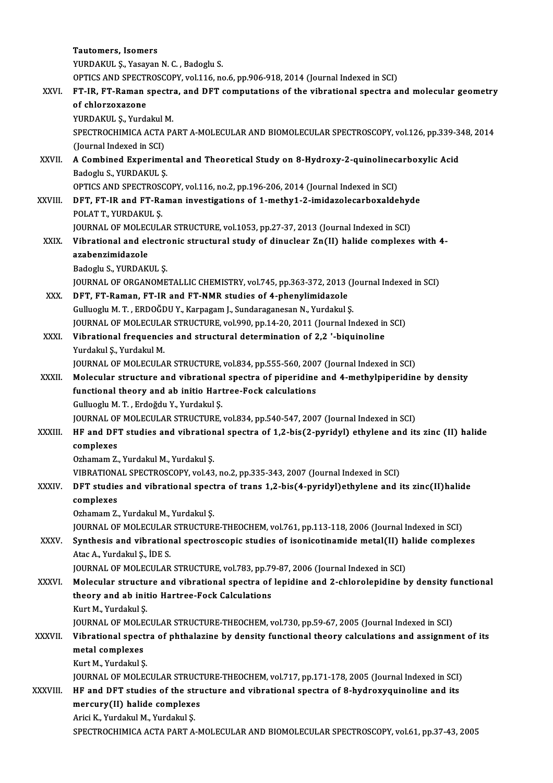|              | <b>Tautomers, Isomers</b>                                                                                                                                                     |
|--------------|-------------------------------------------------------------------------------------------------------------------------------------------------------------------------------|
|              | YURDAKUL Ş., Yasayan N. C., Badoglu S.                                                                                                                                        |
|              | OPTICS AND SPECTROSCOPY, vol.116, no.6, pp.906-918, 2014 (Journal Indexed in SCI)                                                                                             |
| XXVI.        | FT-IR, FT-Raman spectra, and DFT computations of the vibrational spectra and molecular geometry                                                                               |
|              | of chlorzoxazone                                                                                                                                                              |
|              | YURDAKUL Ş., Yurdakul M.                                                                                                                                                      |
|              | SPECTROCHIMICA ACTA PART A-MOLECULAR AND BIOMOLECULAR SPECTROSCOPY, vol.126, pp.339-348, 2014                                                                                 |
|              | (Journal Indexed in SCI)                                                                                                                                                      |
| XXVII.       | A Combined Experimental and Theoretical Study on 8-Hydroxy-2-quinolinecarboxylic Acid                                                                                         |
|              | Badoglu S., YURDAKUL S.                                                                                                                                                       |
|              | OPTICS AND SPECTROSCOPY, vol.116, no.2, pp.196-206, 2014 (Journal Indexed in SCI)                                                                                             |
| XXVIII.      | DFT, FT-IR and FT-Raman investigations of 1-methy1-2-imidazolecarboxaldehyde                                                                                                  |
|              | POLAT T, YURDAKUL Ş                                                                                                                                                           |
| XXIX.        | JOURNAL OF MOLECULAR STRUCTURE, vol.1053, pp.27-37, 2013 (Journal Indexed in SCI)<br>Vibrational and electronic structural study of dinuclear Zn(II) halide complexes with 4- |
|              | azabenzimidazole                                                                                                                                                              |
|              | Badoglu S., YURDAKUL S.                                                                                                                                                       |
|              | JOURNAL OF ORGANOMETALLIC CHEMISTRY, vol.745, pp.363-372, 2013 (Journal Indexed in SCI)                                                                                       |
| XXX.         | DFT, FT-Raman, FT-IR and FT-NMR studies of 4-phenylimidazole                                                                                                                  |
|              | Gulluoglu M. T., ERDOĞDU Y., Karpagam J., Sundaraganesan N., Yurdakul Ş.                                                                                                      |
|              | JOURNAL OF MOLECULAR STRUCTURE, vol.990, pp.14-20, 2011 (Journal Indexed in SCI)                                                                                              |
| XXXI.        | Vibrational frequencies and structural determination of 2,2 '-biquinoline                                                                                                     |
|              | Yurdakul Ş., Yurdakul M.                                                                                                                                                      |
|              | JOURNAL OF MOLECULAR STRUCTURE, vol.834, pp.555-560, 2007 (Journal Indexed in SCI)                                                                                            |
| XXXII.       | Molecular structure and vibrational spectra of piperidine and 4-methylpiperidine by density                                                                                   |
|              | functional theory and ab initio Hartree-Fock calculations                                                                                                                     |
|              | Gulluoglu M. T., Erdoğdu Y., Yurdakul Ş.                                                                                                                                      |
|              | JOURNAL OF MOLECULAR STRUCTURE, vol.834, pp.540-547, 2007 (Journal Indexed in SCI)                                                                                            |
| XXXIII.      | HF and DFT studies and vibrational spectra of 1,2-bis(2-pyridyl) ethylene and its zinc (II) halide                                                                            |
|              | complexes                                                                                                                                                                     |
|              | Ozhamam Z., Yurdakul M., Yurdakul Ş.                                                                                                                                          |
|              | VIBRATIONAL SPECTROSCOPY, vol.43, no.2, pp.335-343, 2007 (Journal Indexed in SCI)                                                                                             |
| <b>XXXIV</b> | DFT studies and vibrational spectra of trans 1,2-bis(4-pyridyl)ethylene and its zinc(II)halide                                                                                |
|              | complexes<br>Ozhamam Z., Yurdakul M., Yurdakul Ş.                                                                                                                             |
|              | JOURNAL OF MOLECULAR STRUCTURE-THEOCHEM, vol.761, pp.113-118, 2006 (Journal Indexed in SCI)                                                                                   |
| XXXV.        | Synthesis and vibrational spectroscopic studies of isonicotinamide metal(II) halide complexes                                                                                 |
|              | Atac A., Yurdakul S., IDE S.                                                                                                                                                  |
|              | JOURNAL OF MOLECULAR STRUCTURE, vol.783, pp.79-87, 2006 (Journal Indexed in SCI)                                                                                              |
| <b>XXXVI</b> | Molecular structure and vibrational spectra of lepidine and 2-chlorolepidine by density functional                                                                            |
|              | theory and ab initio Hartree-Fock Calculations                                                                                                                                |
|              | Kurt M., Yurdakul Ş.                                                                                                                                                          |
|              | JOURNAL OF MOLECULAR STRUCTURE-THEOCHEM, vol.730, pp.59-67, 2005 (Journal Indexed in SCI)                                                                                     |
| XXXVII.      | Vibrational spectra of phthalazine by density functional theory calculations and assignment of its                                                                            |
|              | metal complexes                                                                                                                                                               |
|              | Kurt M, Yurdakul Ş                                                                                                                                                            |
|              | JOURNAL OF MOLECULAR STRUCTURE-THEOCHEM, vol.717, pp.171-178, 2005 (Journal Indexed in SCI)                                                                                   |
| XXXVIII.     | HF and DFT studies of the structure and vibrational spectra of 8-hydroxyquinoline and its                                                                                     |
|              | mercury(II) halide complexes                                                                                                                                                  |
|              | Arici K., Yurdakul M., Yurdakul Ş.                                                                                                                                            |
|              | SPECTROCHIMICA ACTA PART A-MOLECULAR AND BIOMOLECULAR SPECTROSCOPY, vol.61, pp.37-43, 2005                                                                                    |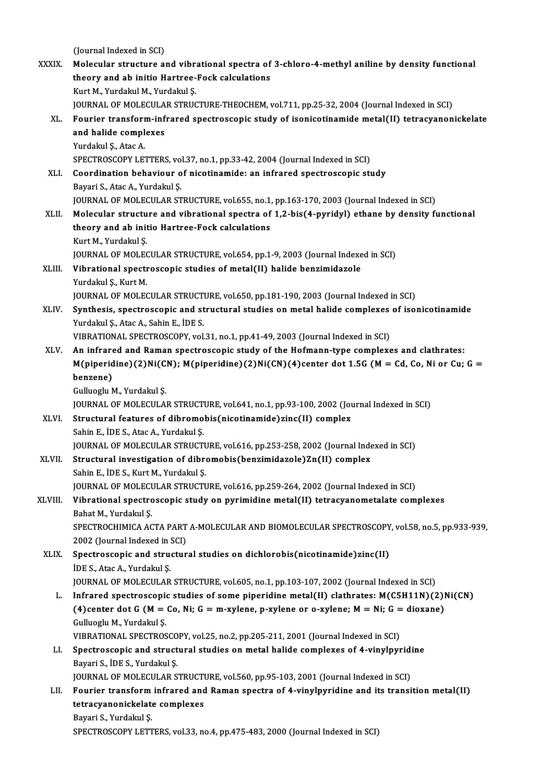(Journal Indexed in SCI)

(Journal Indexed in SCI)<br>XXXIX. Molecular structure and vibrational spectra of 3-chloro-4-methyl aniline by density functional<br>theory and ab initia Hartree Foek salgulations (Journal Indexed in SCI)<br>Molecular structure and vibrational spectra of<br>theory and ab initio Hartree-Fock calculations<br>Kunt M. Yurdalpi M. Yurdalpi S theory and ab initio Hartree-Fock calculations<br>Kurt M., Yurdakul M., Yurdakul Ş. theory and ab initio Hartree-Fock calculations<br>Kurt M., Yurdakul M., Yurdakul Ş.<br>JOURNAL OF MOLECULAR STRUCTURE-THEOCHEM, vol.711, pp.25-32, 2004 (Journal Indexed in SCI)<br>Fourier transform infrared spectrossonis study of i Kurt M., Yurdakul M., Yurdakul Ş.<br>JOURNAL OF MOLECULAR STRUCTURE-THEOCHEM, vol.711, pp.25-32, 2004 (Journal Indexed in SCI)<br>XL. Fourier transform-infrared spectroscopic study of isonicotinamide metal(II) tetracyanonicke JOURNAL OF MOLECULA<br>Fourier transform-inf<br>and halide complexes<br>Yurdakul S. Atas A **Fourier transform<br>and halide compl<br>Yurdakul Ş., Atac A.<br>SPECTPOSCOPV LET** and halide complexes<br>Yurdakul Ş., Atac A.<br>SPECTROSCOPY LETTERS, vol.37, no.1, pp.33-42, 2004 (Journal Indexed in SCI)<br>Coordination haboujour of nisotinamido: on infrared spectrossonic str Yurdakul Ș., Atac A.<br>SPECTROSCOPY LETTERS, vol.37, no.1, pp.33-42, 2004 (Journal Indexed in SCI)<br>XLI. Coordination behaviour of nicotinamide: an infrared spectroscopic study<br>Bayari S., Atac A., Yurdakul S. SPECTROSCOPY LETTERS, vo<br>Coordination behaviour o<br>Bayari S., Atac A., Yurdakul Ş.<br>JOUPNAL OF MOLECULAP ST JOURNAL OF MOLECULAR STRUCTURE, vol.655, no.1, pp.163-170, 2003 (Journal Indexed in SCI) XLII. Molecular structure and vibrational spectra of 1,2-bis(4-pyridyl) ethane by density functional JOURNAL OF MOLECULAR STRUCTURE, vol.655, no.1,<br>Molecular structure and vibrational spectra of<br>theory and ab initio Hartree-Fock calculations<br>Yurt M. Yurdalul S Molecular structu<br>theory and ab init<br>Kurt M., Yurdakul Ş.<br>JOUPMAL OE MOLEC Kurt M., Yurdakul Ş.<br>JOURNAL OF MOLECULAR STRUCTURE, vol.654, pp.1-9, 2003 (Journal Indexed in SCI) Kurt M., Yurdakul Ş.<br>JOURNAL OF MOLECULAR STRUCTURE, vol.654, pp.1-9, 2003 (Journal Indexe<br>XLIII. Vibrational spectroscopic studies of metal(II) halide benzimidazole<br>Vandalul S. Kurt M **JOURNAL OF MOLEC<br>Vibrational spectr<br>Yurdakul Ş., Kurt M.<br>JOUPNAL OF MOLEC** Yurdakul Ș., Kurt M.<br>JOURNAL OF MOLECULAR STRUCTURE, vol.650, pp.181-190, 2003 (Journal Indexed in SCI) Yurdakul Ș., Kurt M.<br>JOURNAL OF MOLECULAR STRUCTURE, vol.650, pp.181-190, 2003 (Journal Indexed in SCI)<br>XLIV. Synthesis, spectroscopic and structural studies on metal halide complexes of isonicotinamide<br>Vurdalul S. Atas A. JOURNAL OF MOLECULAR STRUCT<br>Synthesis, spectroscopic and st<br>Yurdakul Ş., Atac A., Sahin E., İDE S.<br>VIBBATIONAL SPECTROSCOPY vol Synthesis, spectroscopic and structural studies on metal halide complexes<br>Yurdakul \$., Atac A., Sahin E., İDE S.<br>VIBRATIONAL SPECTROSCOPY, vol.31, no.1, pp.41-49, 2003 (Journal Indexed in SCI)<br>An infrared and Baman spectro Yurdakul Ş., Atac A., Sahin E., İDE S.<br>VIBRATIONAL SPECTROSCOPY, vol.31, no.1, pp.41-49, 2003 (Journal Indexed in SCI)<br>XLV. An infrared and Raman spectroscopic study of the Hofmann-type complexes and clathrates:<br>M(piperidi VIBRATIONAL SPECTROSCOPY, vol.31, no.1, pp.41-49, 2003 (Journal Indexed in SCI)<br>An infrared and Raman spectroscopic study of the Hofmann-type complexes and clathrates:<br>M(piperidine)(2)Ni(CN); M(piperidine)(2)Ni(CN)(4)cente An infrare<br>M(piperid<br>benzene)<br><sup>Culluoslu</sup> b M(piperidine)(2)Ni(CN); M(piperidine)(2)Ni(CN)(4)center dot 1.5G (M = Cd, Co, Ni or Cu; G = benzene)<br>Gulluoglu M., Yurdakul Ş. benzene)<br>Gulluoglu M., Yurdakul Ș.<br>JOURNAL OF MOLECULAR STRUCTURE, vol.641, no.1, pp.93-100, 2002 (Journal Indexed in SCI)<br>Structural fostures of dibromobis(pisotinemide)rine(JI) sempler Gulluoglu M., Yurdakul Ș.<br>JOURNAL OF MOLECULAR STRUCTURE, vol.641, no.1, pp.93-100, 2002 (Journal features of dibromobis(nicotinamide)zinc(II) complex<br>Sobin E. JDE S. Atas A. Vurdakul S. Structural features of dibromobis(nicotinamide)zinc(II) complex<br>Sahin E., İDE S., Atac A., Yurdakul Ş. Structural features of dibromobis(nicotinamide)zinc(II) complex<br>Sahin E., İDE S., Atac A., Yurdakul Ş.<br>JOURNAL OF MOLECULAR STRUCTURE, vol.616, pp.253-258, 2002 (Journal Indexed in SCI)<br>Structural investigation of dibromob XLVII. Structural investigation of dibromobis(benzimidazole)Zn(II) complex<br>Sahin E., İDE S., Kurt M., Yurdakul Ş. **JOURNAL OF MOLECULAR STRUCTU**<br>**Structural investigation of dibres.**<br>Sahin E., İDE S., Kurt M., Yurdakul Ş.<br>JOUPNAL OF MOLECULAR STRUCTU Structural investigation of dibromobis(benzimidazole)Zn(II) complex<br>Sahin E., İDE S., Kurt M., Yurdakul Ş.<br>JOURNAL OF MOLECULAR STRUCTURE, vol.616, pp.259-264, 2002 (Journal Indexed in SCI)<br>Vibrational spectrossenis study XLVIII. Vibrational spectroscopic study on pyrimidine metal(II) tetracyanometalate complexes<br>Bahat M., Yurdakul Ş. **JOURNAL OF MOLECU<br>Vibrational spectro<br>Bahat M., Yurdakul Ş.<br>SPECTROCUIMICA AC** Vibrational spectroscopic study on pyrimidine metal(II) tetracyanometalate complexes<br>Bahat M., Yurdakul Ş.<br>SPECTROCHIMICA ACTA PART A-MOLECULAR AND BIOMOLECULAR SPECTROSCOPY, vol.58, no.5, pp.933-939,<br>2002 (Jaurnal Indexed Bahat M., Yurdakul Ş.<br>SPECTROCHIMICA ACTA PART<br>2002 (Journal Indexed in SCI)<br>Spectroscopic and structur SPECTROCHIMICA ACTA PART A-MOLECULAR AND BIOMOLECULAR SPECTROSCOPY<br>2002 (Journal Indexed in SCI)<br>XLIX. Spectroscopic and structural studies on dichlorobis(nicotinamide)zinc(II)<br>in E.S. Atas A. Yurdalpul S. 2002 (Journal Indexed in Spectroscopic and strue<br>İDE S., Atac A., Yurdakul Ş.<br>JOUPNAL OF MOLECULAP IDE S., Atac A., Yurdakul Ș.<br>JOURNAL OF MOLECULAR STRUCTURE, vol.605, no.1, pp.103-107, 2002 (Journal Indexed in SCI) IDE S., Atac A., Yurdakul Ş.<br>JOURNAL OF MOLECULAR STRUCTURE, vol.605, no.1, pp.103-107, 2002 (Journal Indexed in SCI)<br>L. Infrared spectroscopic studies of some piperidine metal(II) clathrates: M(C5H11N)(2)Ni(CN)<br>(A)senter (4)COURNAL OF MOLECULAR STRUCTURE, vol.605, no.1, pp.103-107, 2002 (Journal Indexed in SCI)<br>Infrared spectroscopic studies of some piperidine metal(II) clathrates: M(C5H11N)(2)I<br>(4)center dot G (M = Co, Ni; G = m-xylene, p Infrared spectroscopie<br>(4)center dot G (M =<br>Gulluoglu M., Yurdakul Ș.<br>VIBBATIONAL SPECTROS (4) center dot G ( $M = Co$ , Ni; G = m-xylene, p-xylene or o-xylene;  $M = Ni$ ; G = dioxane)<br>Gulluoglu M., Yurdakul S. LI. Spectroscopic and structural studies on metal halide complexes of 4-vinylpyridine Bayari S., IDE S., Yurdakul S. VIBRATIONAL SPECTROSCOPY, vol.25, no.2, pp.205-211, 2001 (Journal Indexed in SCI) Spectroscopic and structural studies on metal halide complexes of 4-vinylpyridi<br>Bayari S., İDE S., Yurdakul Ş.<br>JOURNAL OF MOLECULAR STRUCTURE, vol.560, pp.95-103, 2001 (Journal Indexed in SCI)<br>Fourier transform infrancd an Bayari S., İDE S., Yurdakul Ş.<br>JOURNAL OF MOLECULAR STRUCTURE, vol.560, pp.95-103, 2001 (Journal Indexed in SCI)<br>LII. Fourier transform infrared and Raman spectra of 4-vinylpyridine and its transition metal(II)<br>tetrasyonon JOURNAL OF MOLECULAR STRUCT<br>Fourier transform infrared and<br>tetracyanonickelate complexes<br>Pavari S. Vurdalul S Fourier transform<br>tetracyanonickelat<br>Bayari S., Yurdakul Ş.<br>SPECTPOSCOPY LETT tetracyanonickelate complexes<br>Bayari S., Yurdakul Ş.<br>SPECTROSCOPY LETTERS, vol.33, no.4, pp.475-483, 2000 (Journal Indexed in SCI)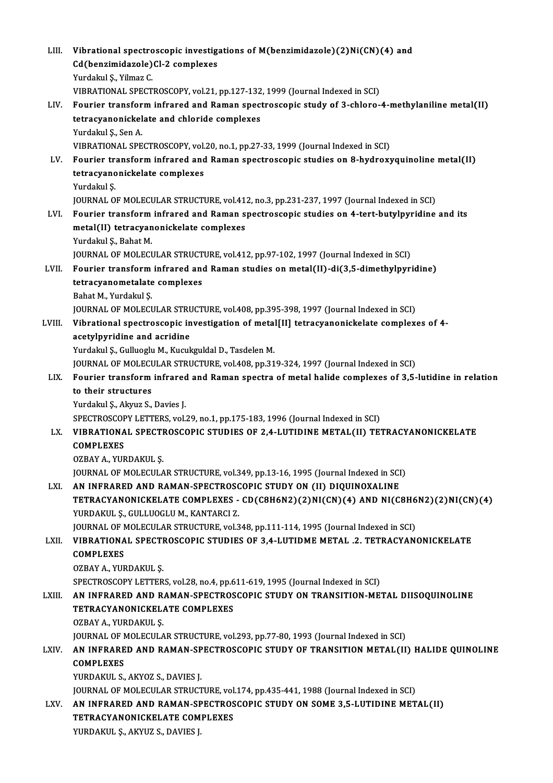| LIII.  | Vibrational spectroscopic investigations of M(benzimidazole)(2)Ni(CN)(4) and                                                                                   |
|--------|----------------------------------------------------------------------------------------------------------------------------------------------------------------|
|        | Cd(benzimidazole)Cl-2 complexes                                                                                                                                |
|        | Yurdakul Ş., Yilmaz C.                                                                                                                                         |
|        | VIBRATIONAL SPECTROSCOPY, vol.21, pp.127-132, 1999 (Journal Indexed in SCI)                                                                                    |
| LIV.   | Fourier transform infrared and Raman spectroscopic study of 3-chloro-4-methylaniline metal(II)                                                                 |
|        | tetracyanonickelate and chloride complexes                                                                                                                     |
|        | Yurdakul Ş, Sen A                                                                                                                                              |
|        | VIBRATIONAL SPECTROSCOPY, vol.20, no.1, pp.27-33, 1999 (Journal Indexed in SCI)                                                                                |
| LV.    | Fourier transform infrared and Raman spectroscopic studies on 8-hydroxyquinoline metal(II)                                                                     |
|        | tetracyanonickelate complexes                                                                                                                                  |
|        | Yurdakul Ş.                                                                                                                                                    |
|        | JOURNAL OF MOLECULAR STRUCTURE, vol.412, no.3, pp.231-237, 1997 (Journal Indexed in SCI)                                                                       |
| LVI.   | Fourier transform infrared and Raman spectroscopic studies on 4-tert-butylpyridine and its                                                                     |
|        | metal(II) tetracyanonickelate complexes                                                                                                                        |
|        | Yurdakul Ş., Bahat M.                                                                                                                                          |
|        | JOURNAL OF MOLECULAR STRUCTURE, vol.412, pp.97-102, 1997 (Journal Indexed in SCI)                                                                              |
| LVII.  | Fourier transform infrared and Raman studies on metal(II)-di(3,5-dimethylpyridine)                                                                             |
|        | tetracyanometalate complexes                                                                                                                                   |
|        | Bahat M., Yurdakul Ş.                                                                                                                                          |
|        | JOURNAL OF MOLECULAR STRUCTURE, vol.408, pp.395-398, 1997 (Journal Indexed in SCI)                                                                             |
| LVIII. | Vibrational spectroscopic investigation of metal[II] tetracyanonickelate complexes of 4-                                                                       |
|        | acetylpyridine and acridine                                                                                                                                    |
|        | Yurdakul Ş., Gulluoglu M., Kucukguldal D., Tasdelen M.<br>JOURNAL OF MOLECULAR STRUCTURE, vol.408, pp.319-324, 1997 (Journal Indexed in SCI)                   |
| LIX.   | Fourier transform infrared and Raman spectra of metal halide complexes of 3,5-lutidine in relation                                                             |
|        | to their structures                                                                                                                                            |
|        | Yurdakul Ş., Akyuz S., Davies J.                                                                                                                               |
|        | SPECTROSCOPY LETTERS, vol.29, no.1, pp.175-183, 1996 (Journal Indexed in SCI)                                                                                  |
| LX.    | VIBRATIONAL SPECTROSCOPIC STUDIES OF 2,4-LUTIDINE METAL(II) TETRACYANONICKELATE                                                                                |
|        | <b>COMPLEXES</b>                                                                                                                                               |
|        | OZBAY A, YURDAKUL Ş                                                                                                                                            |
|        | JOURNAL OF MOLECULAR STRUCTURE, vol.349, pp.13-16, 1995 (Journal Indexed in SCI)                                                                               |
| LXI.   | AN INFRARED AND RAMAN-SPECTROSCOPIC STUDY ON (II) DIQUINOXALINE                                                                                                |
|        | TETRACYANONICKELATE COMPLEXES - CD(C8H6N2)(2)NI(CN)(4) AND NI(C8H6N2)(2)NI(CN)(4)                                                                              |
|        | YURDAKUL Ş., GULLUOGLU M., KANTARCI Z.                                                                                                                         |
|        | JOURNAL OF MOLECULAR STRUCTURE, vol.348, pp.111-114, 1995 (Journal Indexed in SCI)                                                                             |
| LXII.  | VIBRATIONAL SPECTROSCOPIC STUDIES OF 3,4-LUTIDME METAL .2. TETRACYANONICKELATE                                                                                 |
|        | <b>COMPLEXES</b>                                                                                                                                               |
|        | OZBAY A., YURDAKUL Ş.                                                                                                                                          |
|        | SPECTROSCOPY LETTERS, vol.28, no.4, pp.611-619, 1995 (Journal Indexed in SCI)                                                                                  |
| LXIII. | AN INFRARED AND RAMAN-SPECTROSCOPIC STUDY ON TRANSITION-METAL DIISOQUINOLINE                                                                                   |
|        | <b>TETRACYANONICKELATE COMPLEXES</b>                                                                                                                           |
|        | OZBAY A, YURDAKUL Ş                                                                                                                                            |
|        | JOURNAL OF MOLECULAR STRUCTURE, vol.293, pp.77-80, 1993 (Journal Indexed in SCI)                                                                               |
| LXIV.  | AN INFRARED AND RAMAN-SPECTROSCOPIC STUDY OF TRANSITION METAL(II) HALIDE QUINOLINE                                                                             |
|        | <b>COMPLEXES</b>                                                                                                                                               |
|        | YURDAKUL S., AKYOZ S., DAVIES J.                                                                                                                               |
| LXV.   | JOURNAL OF MOLECULAR STRUCTURE, vol.174, pp.435-441, 1988 (Journal Indexed in SCI)<br>AN INFRARED AND RAMAN-SPECTROSCOPIC STUDY ON SOME 3,5-LUTIDINE METAL(II) |
|        | TETRACYANONICKELATE COMPLEXES                                                                                                                                  |
|        | YURDAKUL Ş., AKYUZ S., DAVIES J.                                                                                                                               |
|        |                                                                                                                                                                |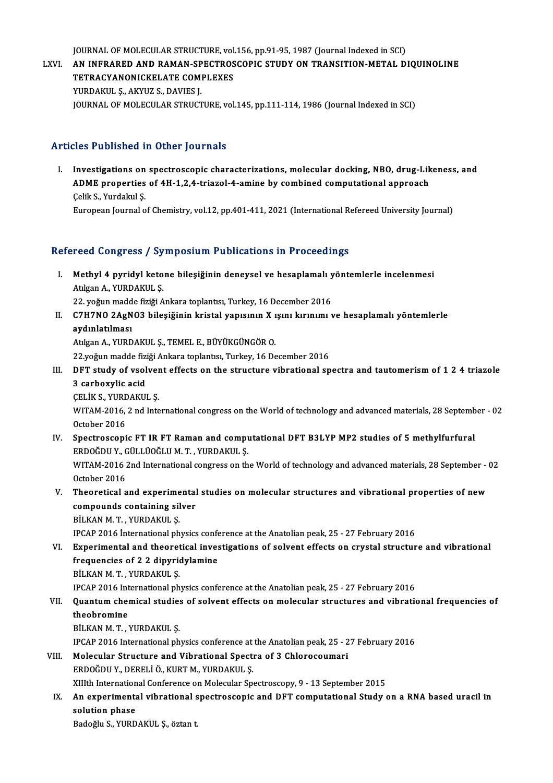JOURNAL OF MOLECULAR STRUCTURE, vol.156, pp.91-95, 1987 (Journal Indexed in SCI)<br>AN INERARED AND RAMAN SPECTROSCOPIC STUDY ON TRANSITION METAL D

JOURNAL OF MOLECULAR STRUCTURE, vol.156, pp.91-95, 1987 (Journal Indexed in SCI)<br>LXVI. AN INFRARED AND RAMAN-SPECTROSCOPIC STUDY ON TRANSITION-METAL DIQUINOLINE **JOURNAL OF MOLECULAR STRUCTURE, vol<br>AN INFRARED AND RAMAN-SPECTROS<br>TETRACYANONICKELATE COMPLEXES<br>VUPDAKULS AKYUZS DAVIES L** AN INFRARED AND RAMAN-SP<br>TETRACYANONICKELATE COM<br>YURDAKUL Ş., AKYUZ S., DAVIES J.<br>JOUPNAL OF MOLECULAR STRUCT TETRACYANONICKELATE COMPLEXES<br>YURDAKUL Ș., AKYUZ S., DAVIES J.<br>JOURNAL OF MOLECULAR STRUCTURE, vol.145, pp.111-114, 1986 (Journal Indexed in SCI)

#### Articles Published in Other Journals

rticles Published in Other Journals<br>I. Investigations on spectroscopic characterizations, molecular docking, NBO, drug-Likeness, and<br>ADME properties of 4H 1.2.4 triagel 4 amine by combined computational engroech ADME PROMEDING IN SCHOP JORPHAND<br>Investigations on spectroscopic characterizations, molecular docking, NBO, drug-Lik<br>ADME properties of 4H-1,2,4-triazol-4-amine by combined computational approach ADME properties of 4H-1,2,4-triazol-4-amine by combined computational approach Celik S., Yurdakul Ș. European Journal of Chemistry, vol.12, pp.401-411, 2021 (International Refereed University Journal)

#### Refereed Congress / Symposium Publications in Proceedings

efereed Congress / Symposium Publications in Proceedings<br>I. Methyl 4 pyridyl ketone bileşiğinin deneysel ve hesaplamalı yöntemlerle incelenmesi<br>Atlase A YUPDAYULS Atılgan A., YURDAKUL Ş.<br>Atılgan A., YURDAKUL Ş.<br>22. yeğye madda fiziği A. Methyl 4 pyridyl ketone bileşiğinin deneysel ve hesaplamalı y<br>Atılgan A., YURDAKUL Ş.<br>22. yoğun madde fiziği Ankara toplantısı, Turkey, 16 December 2016<br>GZHZNO 2AGNO2 bilesiğinin kristal yapısının Yusun kırınımı ı

22. yoğun madde fiziği Ankara toplantısı, Turkey, 16 December 2016

Atılgan A., YURDAKUL Ş.<br>22. yoğun madde fiziği Ankara toplantısı, Turkey, 16 December 2016<br>II. C7H7NO 2AgNO3 bileşiğinin kristal yapısının X ışını kırınımı ve hesaplamalı yöntemlerle<br>aydınlatılması <mark>aydınlatılması</mark><br>Atılgan A., YURDAKUL Ş., TEMEL E., BÜYÜKGÜNGÖR O.<br>22.yoğun madde fiziği Ankara toplantısı, Turkey, 16 December 2016<br>DET study of vselvent effests en the strugture vihretional sp

AtılganA.,YURDAKUL Ş.,TEMEL E.,BÜYÜKGÜNGÖRO.

Atılgan A., YURDAKUL Ş., TEMEL E., BÜYÜKGÜNGÖR O.<br>22.yoğun madde fiziği Ankara toplantısı, Turkey, 16 December 2016<br>III. DFT study of vsolvent effects on the structure vibrational spectra and tautomerism of 1 2 4 triazole 22.yoğun madde fizi<br>DFT study of vsol<br>3 carboxylic acid<br>CELIV S. VURDAVU DFT study of vsolver<br>3 carboxylic acid<br>ÇELİK S., YURDAKUL Ş.<br>WITAM 2016 2 rd Inte 3 carboxylic acid<br>ÇELİK S., YURDAKUL Ş.<br>WITAM-2016, 2 nd International congress on the World of technology and advanced materials, 28 September - 02<br>Osteber 2016

CELIK S., YURE<br>WITAM-2016,<br>October 2016<br>Spectrossoni WITAM-2016, 2 nd International congress on the World of technology and advanced materials, 28 Septemb<br>October 2016<br>IV. Spectroscopic FT IR FT Raman and computational DFT B3LYP MP2 studies of 5 methylfurfural<br>FRDOČDUV CÜLLÜ

- October 2016<br>Spectroscopic FT IR FT Raman and complex<br>ERDOĞDUY., GÜLLÜOĞLUM.T., YURDAKUL Ş.<br>WITAM 2016 2nd International congress on th IV. Spectroscopic FT IR FT Raman and computational DFT B3LYP MP2 studies of 5 methylfurfural<br>ERDOĞDU Y., GÜLLÜOĞLU M. T. , YURDAKUL Ş.<br>WITAM-2016 2nd International congress on the World of technology and advanced materials ERDOĞDU Y., C<br>WITAM-2016<br>October 2016<br>Theoratical a
- WITAM-2016 2nd International congress on the World of technology and advanced materials, 28 September -<br>October 2016<br>V. Theoretical and experimental studies on molecular structures and vibrational properties of new<br>compoun October 2016<br>Theoretical and experimental<br>compounds containing silver<br>Pit KAN M T - VIIPDAKIILS Theoretical and experime<br>compounds containing sil<br>BİLKAN M.T., YURDAKUL Ş.<br>IPCAR 2016 İnternational ph compounds containing silver<br>BİLKAN M. T. , YURDAKUL Ş.<br>IPCAP 2016 İnternational physics conference at the Anatolian peak, 25 - 27 February 2016<br>Experimental and theoratical investigations of solvent effects on grustal stru

BILKAN M. T. , YURDAKUL \$.<br>IPCAP 2016 International physics conference at the Anatolian peak, 25 - 27 February 2016<br>VI. Experimental and theoretical investigations of solvent effects on crystal structure and vibrational<br>fr **IPCAP 2016 International physics conformation**<br>**Experimental and theoretical inves<br>frequencies of 2 2 dipyridylamine**<br>PULLAN M.T. VURDAKULS BİLKANM.T. ,YURDAKUL Ş.

IPCAP 2016 International physics conference at the Anatolian peak, 25 - 27 February 2016

- BİLKAN M. T. , YURDAKUL Ş.<br>IPCAP 2016 International physics conference at the Anatolian peak, 25 27 February 2016<br>VII. Quantum chemical studies of solvent effects on molecular structures and vibrational frequencies of<br>th **IPCAP 2016 Int**<br>**Quantum cher**<br>theobromine<br>P<sup>it VAN</sup>M T Quantum chemical studie:<br>theobromine<br>BİLKAN M. T. , YURDAKUL Ş.<br>IPCAR 2016 International ph theobromine<br>BİLKAN M. T. , YURDAKUL Ş.<br>IPCAP 2016 International physics conference at the Anatolian peak, 25 - 27 February 2016
	-
	-
- BİLKAN M. T., YURDAKUL Ş.<br>IPCAP 2016 International physics conference at the Anatolian peak, 25 2<br>VIII. Molecular Structure and Vibrational Spectra of 3 Chlorocoumari<br>ERDOČDU V. DERELİ Ö. KURT M. VURDAKUL S. IPCAP 2016 International physics conference at<br>Molecular Structure and Vibrational Spect<br>ERDOĞDUY., DERELİÖ., KURTM., YURDAKUL Ş.<br>YUIth International Conference en Molecular Sp ERDOĞDU Y., DERELİ Ö., KURT M., YURDAKUL Ş.<br>XIIIth International Conference on Molecular Spectroscopy, 9 - 13 September 2015
- ERDOĞDU Y., DERELİ Ö., KURT M., YURDAKUL Ş.<br>XIIIth International Conference on Molecular Spectroscopy, 9 13 September 2015<br>IX. An experimental vibrational spectroscopic and DFT computational Study on a RNA based urac XIIIth Internation<br>An experimenta<br>solution phase<br>Padoğlu S. VUPD An experimental vibrational s<br>solution phase<br>Badoğlu S., YURDAKUL Ş., öztan t.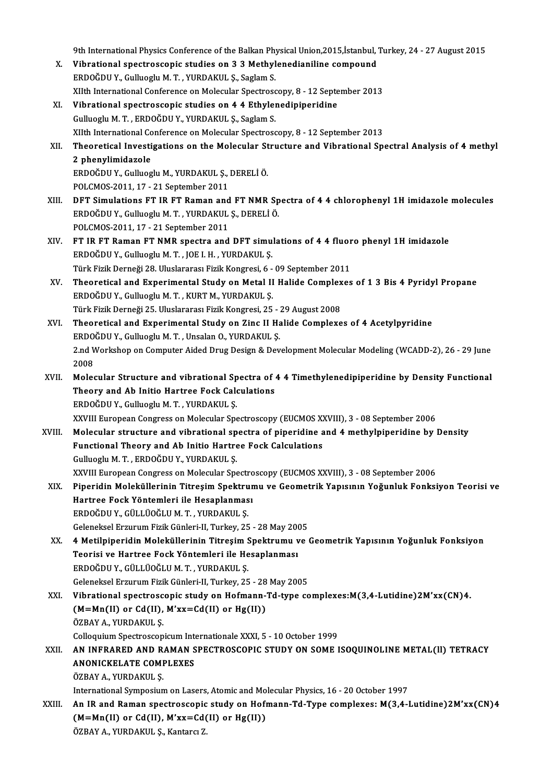9th International Physics Conference of the Balkan Physical Union,2015,İstanbul, Turkey, 24 - 27 August 2015<br>Vihnational spestressenis studies on 2.2 Methylonodianiline semnound

- 9th International Physics Conference of the Balkan Physical Union,2015,İstanbul,<br>X. Vibrational spectroscopic studies on 3 3 Methylenedianiline compound<br>EPDOČDU Y. Gullyogly M.T. VUPDAVULS, Soglam S. 9th International Physics Conference of the Balkan Phy<br>Vibrational spectroscopic studies on 3 3 Methyl<br>ERDOĞDU Y., Gulluoglu M.T., YURDAKUL Ş., Saglam S.<br>VIth International Conference on Melegular Spectrosc Vibrational spectroscopic studies on 3 3 Methylenedianiline compound<br>ERDOĞDU Y., Gulluoglu M. T. , YURDAKUL Ş., Saglam S.<br>XIIth International Conference on Molecular Spectroscopy, 8 - 12 September 2013<br>Vibrational spectros
- ERDOĞDU Y., Gulluoglu M. T. , YURDAKUL Ş., Saglam S.<br>XIIth International Conference on Molecular Spectroscopy, 8 12 Septe<br>XI. Vibrational spectroscopic studies on 4 4 Ethylenedipiperidine<br>Gulluoglu M. T. , ERDOĞDU Y., YU XIIth International Conference on Molecular Spectrosc<br>Vibrational spectroscopic studies on 4 4 Ethylen<br>Gulluoglu M. T. , ERDOĞDU Y., YURDAKUL Ş., Saglam S.<br>YIIth International Conference on Molecular Spectrosc Vibrational spectroscopic studies on 4 4 Ethylenedipiperidine<br>Gulluoglu M. T. , ERDOĞDU Y., YURDAKUL Ş., Saglam S.<br>XIIth International Conference on Molecular Spectroscopy, 8 - 12 September 2013<br>Theoretical Investigations
- XII. Theoretical Investigations on the Molecular Structure and Vibrational Spectral Analysis of 4 methyl<br>2 phenylimidazole XIIth International Co<br>Theoretical Investi<br>2 phenylimidazole<br>EPDOČDILY Cullusa Theoretical Investigations on the Molecular St<br>2 phenylimidazole<br>ERDOĞDU Y., Gulluoglu M., YURDAKUL Ş., DERELİÖ.<br>POLCMOS 2011 17 - 21 September 2011 2 phenylimidazole<br>ERDOĞDU Y., Gulluoglu M., YURDAKUL Ş.,<br>POLCMOS-2011, 17 - 21 September 2011<br>DET Simulations ET IP ET Baman and

- POLCMOS-2011, 17 21 September 2011<br>XIII. DFT Simulations FT IR FT Raman and FT NMR Spectra of 4 4 chlorophenyl 1H imidazole molecules ERDOĞDUY.,GuluogluM.T. ,YURDAKUL Ş.,DERELİÖ. POLCMOS-2011,17 -21 September 2011 ERDOĞDU Y., Gulluoglu M. T. , YURDAKUL Ş., DERELİ Ö.<br>POLCMOS-2011, 17 - 21 September 2011<br>XIV. FT IR FT Raman FT NMR spectra and DFT simulations of 4 4 fluoro phenyl 1H imidazole
- POLCMOS-2011, 17 21 September 2011<br>FT IR FT Raman FT NMR spectra and DFT simu<br>ERDOĞDU Y., Gulluoglu M.T., JOE I. H., YURDAKUL Ş.<br>Türk Eirik Derneği 28, Hluslarenesi Firik Kongresi, 6 FT IR FT Raman FT NMR spectra and DFT simulations of 4 4 fluor<br>ERDOĞDU Y., Gulluoglu M. T. , JOE I. H. , YURDAKUL Ş.<br>Türk Fizik Derneği 28. Uluslararası Fizik Kongresi, 6 - 09 September 2011<br>Theoratisel and Eunorimental St Türk Fizik Derneği 28. Uluslararası Fizik Kongresi, 6 - 09 September 2011
- ERDOĞDU Y., Gulluoglu M. T. , JOE I. H. , YURDAKUL Ş.<br>Türk Fizik Derneği 28. Uluslararası Fizik Kongresi, 6 09 September 2011<br>XV. Theoretical and Experimental Study on Metal II Halide Complexes of 1 3 Bis 4 Pyridyl P Theoretical and Experimental Study on Metal II Halide Complex<br>ERDOĞDU Y., Gulluoglu M. T. , KURT M., YURDAKUL Ş.<br>Türk Fizik Derneği 25. Uluslararası Fizik Kongresi, 25 - 29 August 2008<br>Theoretical and Experimental Study on
- XVI. Theoretical and Experimental Study on Zinc II Halide Complexes of 4 Acetylpyridine<br>ERDOĞDU Y., Gulluoglu M. T., Unsalan O., YURDAKUL Ş. Türk Fizik Derneği 25. Uluslararası Fizik Kongresi, 25 - .<br>Theoretical and Experimental Study on Zinc II Ha<br>ERDOĞDU Y., Gulluoglu M. T. , Unsalan O., YURDAKUL Ş.<br>2 nd Werksbon en Computer Aided Drug Design & Dev Theoretical and Experimental Study on Zinc II Halide Complexes of 4 Acetylpyridine<br>ERDOĞDU Y., Gulluoglu M. T. , Unsalan O., YURDAKUL Ş.<br>2.nd Workshop on Computer Aided Drug Design & Development Molecular Modeling (WCADD-2 ERDO<br>2.nd V<br>2008 2.nd Workshop on Computer Aided Drug Design & Development Molecular Modeling (WCADD-2), 26 - 29 June<br>2008<br>XVII. Molecular Structure and vibrational Spectra of 4 4 Timethylenedipiperidine by Density Functional<br>Theory and Ab
- 2008<br>Molecular Structure and vibrational Spectra of 4<br>Theory and Ab Initio Hartree Fock Calculations<br>FRDOČDU Y, Gullyogh: M.T., VURDAKULS Molecular Structure and vibrational Sp<br>Theory and Ab Initio Hartree Fock Cale<br>ERDOĞDU Y., Gulluoglu M.T., YURDAKUL Ş.<br>YYVIII European Congress en Molecular Spe Theory and Ab Initio Hartree Fock Calculations<br>ERDOĞDU Y., Gulluoglu M. T. , YURDAKUL Ş.<br>XXVIII European Congress on Molecular Spectroscopy (EUCMOS XXVIII), 3 - 08 September 2006 ERDOĞDU Y., Gulluoglu M. T. , YURDAKUL Ş.<br>XXVIII. Buropean Congress on Molecular Spectroscopy (EUCMOS XXVIII), 3 - 08 September 2006<br>XVIII. Molecular structure and vibrational spectra of piperidine and 4 methylpiperidine b
- XXVIII European Congress on Molecular Spectroscopy (EUCMOS X)<br>Molecular structure and vibrational spectra of piperidine a<br>Functional Theory and Ab Initio Hartree Fock Calculations<br>Cullyogh M.T., EPDOČDU V. VUPDAVULS Molecular structure and vibrational sp<br>Functional Theory and Ab Initio Hartre<br>Gulluoglu M.T., ERDOĞDUY., YURDAKUL Ş.<br>YYUIL Ewspeen Congress en Molecular Spe Functional Theory and Ab Initio Hartree Fock Calculations<br>Gulluoglu M. T. , ERDOĞDU Y., YURDAKUL Ş.<br>XXVIII European Congress on Molecular Spectroscopy (EUCMOS XXVIII), 3 - 08 September 2006<br>Pineridin Moleküllerinin Titresi
- Gulluoglu M. T. , ERDOĞDU Y., YURDAKUL Ş.<br>XXVIII European Congress on Molecular Spectroscopy (EUCMOS XXVIII), 3 08 September 2006<br>XIX. Piperidin Moleküllerinin Titreşim Spektrumu ve Geometrik Yapısının Yoğunluk Fonks XXVIII European Congress on Molecular Spectro<br>Piperidin Moleküllerinin Titreşim Spektrun<br>Hartree Fock Yöntemleri ile Hesaplanması<br>FPDOČDU V. CÜLLÜQČLUM T. YUPDAKULS ERDOĞDUY.,GÜLLÜOĞLUM.T. ,YURDAKUL Ş. Geleneksel Erzurum Fizik Günleri-II, Turkey, 25 - 28 May 2005
- XX. 4 Metilpiperidin Moleküllerinin Titreşim Spektrumu ve Geometrik Yapısının Yoğunluk Fonksiyon Geleneksel Erzurum Fizik Günleri-II, Turkey, 25 - 28 May 200<br>4 Metilpiperidin Moleküllerinin Titreşim Spektrumu v<br>Teorisi ve Hartree Fock Yöntemleri ile Hesaplanması<br>FRDOČDU V. CÜLLÜQČLUM T. YURDAKULS 4 Metilpiperidin Moleküllerinin Titreşim S<br>Teorisi ve Hartree Fock Yöntemleri ile He<br>ERDOĞDU Y., GÜLLÜOĞLU M. T. , YURDAKUL Ş.<br>Celeneksel Erzurum Fizik Cünleri II. Turkey, 25 Teorisi ve Hartree Fock Yöntemleri ile Hesaplanması<br>ERDOĞDU Y., GÜLLÜOĞLU M. T. , YURDAKUL Ş.<br>Geleneksel Erzurum Fizik Günleri-II, Turkey, 25 - 28 May 2005<br>Vihrational spestrossenis study on Hefmann Td. tune se
- ERDOĞDU Y., GÜLLÜOĞLU M. T. , YURDAKUL Ş.<br>Geleneksel Erzurum Fizik Günleri-II, Turkey, 25 28 May 2005<br>XXI. Vibrational spectroscopic study on Hofmann-Td-type complexes:M(3,4-Lutidine)2M'xx(CN)4.<br>(M=Mn(II) or Cd(II) M Geleneksel Erzurum Fizik Günleri-II, Turkey, 25 - 28<br>Vibrational spectroscopic study on Hofmann-<br>(M=Mn(II) or Cd(II), M'xx=Cd(II) or Hg(II))<br>ÖZRAV A, VURDAKULS Vibrational spectrosc<br>(M=Mn(II) or Cd(II),<br>ÖZBAY A., YURDAKUL Ş.<br>Celleauium Spectroscop (M=Mn(II) or Cd(II), M'xx=Cd(II) or Hg(II))<br>ÖZBAY A., YURDAKUL Ş.<br>Colloquium Spectroscopicum Internationale XXXI, 5 - 10 October 1999<br>AN INERARED AND RAMAN SPECTROSCOPIC STIIDY ON SOME I ÖZBAY A., YURDAKUL Ş.<br>Colloquium Spectroscopicum Internationale XXXI, 5 - 10 October 1999<br>XXII. ANONICKEL ATE COMPLEYES

### Colloquium Spectroscopicum Int<br>AN INFRARED AND RAMAN S<br>ANONICKELATE COMPLEXES<br>ÖZRAV A VURDAVIU S AN INFRARED AND R.<br>ANONICKELATE COME<br>ÖZBAY A., YURDAKUL Ş.<br>International Surmosium ANONICKELATE COMPLEXES<br>ÖZBAY A., YURDAKUL Ş.<br>International Symposium on Lasers, Atomic and Molecular Physics, 16 - 20 October 1997<br>An IB and Baman anastrossonis study on Hofmann Td Tyne somnlaves; M(3,4,1)

ÖZBAY A., YURDAKUL Ș.<br>International Symposium on Lasers, Atomic and Molecular Physics, 16 - 20 October 1997<br>XXIII. An IR and Raman spectroscopic study on Hofmann-Td-Type complexes: M(3,4-Lutidine)2M'xx(CN)4<br>(M=Mn(II) or Cd International Symposium on Lasers, Atomic and Mo<br>An IR and Raman spectroscopic study on Hofi<br>(M=Mn(II) or Cd(II), M'xx=Cd(II) or Hg(II))<br>ÖZRAV A, VURDAKULS, Kontare 7 ÖZBAY A., YURDAKUL Ş., Kantarcı Z.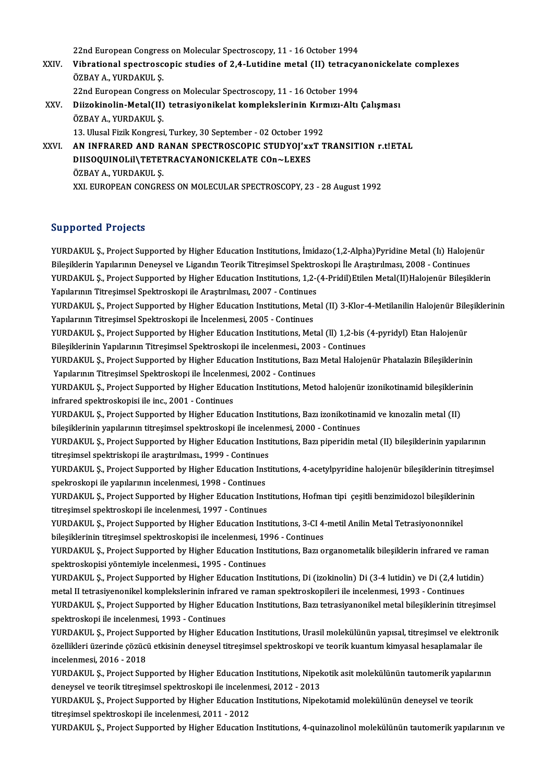22nd European Congress on Molecular Spectroscopy, 11 - 16 October 1994<br>Vibnational spectroscopis studies of 2.4 Juridine matel (II) tetrosys

- 22nd European Congress on Molecular Spectroscopy, 11 16 October 1994<br>XXIV. Vibrational spectroscopic studies of 2,4-Lutidine metal (II) tetracyanonickelate complexes<br>ÖZRAV A, VURDAKULS 22nd European Congres<br>Vibrational spectrosc<br>ÖZBAY A., YURDAKUL Ş.<br>22nd European Congres Vibrational spectroscopic studies of 2,4-Lutidine metal (II) tetracya<br>ÖZBAY A., YURDAKUL Ş.<br>22nd European Congress on Molecular Spectroscopy, 11 - 16 October 1994<br>Diirokinolin Metal(II) tetraciyonikalat komplekslerinin Kum ÖZBAY A., YURDAKUL Ş.<br>22nd European Congress on Molecular Spectroscopy, 11 - 16 October 1994<br>XXV. Diizokinolin-Metal(II) tetrasiyonikelat komplekslerinin Kırmızı-Altı Çalışması<br>ÖZBAY A. YURDAKUL S
	-
- 22nd European Congress on Molecular Spectroscopy, 11 16 October 1994<br>Diizokinolin-Metal(II) tetrasiyonikelat komplekslerinin Kırmızı-Altı<br>ÖZBAY A., YURDAKUL Ş. Diizokinolin-Metal(II) tetrasiyonikelat komplekslerinin Kırn<br>ÖZBAY A., YURDAKUL Ş.<br>13. Ulusal Fizik Kongresi, Turkey, 30 September - 02 October 1992<br>AN INERARED AND RANAN SREGTROSCORIC STUDVOL'YYT T ÖZBAY A., YURDAKUL Ş.<br>13. Ulusal Fizik Kongresi, Turkey, 30 September - 02 October 1992<br>XXVI. – AN INFRARED AND RANAN SPECTROSCOPIC STUDYOJ'xxT TRANSITION r.t!ETAL<br>DIJSOQUINOJ iN TETETRACYANONICKEJ ATE CORAJ EXES

13. Ulusal Fizik Kongresi, Turkey, 30 September - 02 October 1992<br>AN INFRARED AND RANAN SPECTROSCOPIC STUDYOJ'xxT 1<br>DIISOQUINOLIl\TETETRACYANONICKELATE COn~LEXES<br>ÖZBAY A., YURDAKUL S. AN INFRARED AND R.<br>DIISOQUINOLII\TETET<br>ÖZBAY A., YURDAKUL Ş.<br>YYL EUBOBEAN CONCRE XXI. EUROPEAN CONGRESS ON MOLECULAR SPECTROSCOPY, 23 - 28 August 1992

#### Supported Projects

Supported Projects<br>YURDAKUL Ş., Project Supported by Higher Education Institutions, İmidazo(1,2-Alpha)Pyridine Metal (Iı) Halojenür<br>Bilesiklerin Yanılarının Danavçel ve Litendın Tearik Titresimsel Spektrockeni ile Arastrul Bupporteur I rojects<br>Bileşiklerin Yapılarının Deneysel ve Ligandın Teorik Titreşimsel Spektroskopi İle Araştırılması, 2008 - Continues<br>Bileşiklerin Yapılarının Deneysel ve Ligandın Teorik Titreşimsel Spektroskopi İle Araşt YURDAKUL Ş., Project Supported by Higher Education Institutions, İmidazo(1,2-Alpha)Pyridine Metal (Iı) Halojenür<br>Bileşiklerin Yapılarının Deneysel ve Ligandın Teorik Titreşimsel Spektroskopi İle Araştırılması, 2008 - Conti Bileşiklerin Yapılarının Deneysel ve Ligandın Teorik Titreşimsel Spektro<br>YURDAKUL Ş., Project Supported by Higher Education Institutions, 1,2-(<br>Yapılarının Titreşimsel Spektroskopi ile Araştırılması, 2007 - Continues<br>YURDA YURDAKUL Ş., Project Supported by Higher Education Institutions, 1,2-(4-Pridil)Etilen Metal(II)Halojenür Bileşiklerin<br>Yapılarının Titreşimsel Spektroskopi ile Araştırılması, 2007 - Continues<br>YURDAKUL Ş., Project Supported Yapılarının Titreşimsel Spektroskopi ile Araştırılması, 2007 - Continues<br>YURDAKUL Ş., Project Supported by Higher Education Institutions, Met<br>Yapılarının Titreşimsel Spektroskopi ile İncelenmesi, 2005 - Continues<br>YURDAKUL YURDAKUL Ș., Project Supported by Higher Education Institutions, Metal (II) 3-Klor-4-Metilanilin Halojenür Bile<br>Yapılarının Titreşimsel Spektroskopi ile İncelenmesi, 2005 - Continues<br>YURDAKUL Ș., Project Supported by Highe Yapılarının Titreşimsel Spektroskopi ile İncelenmesi, 2005 - Continues<br>YURDAKUL Ş., Project Supported by Higher Education Institutions, Metal (ll) 1,2-bis (4-pyridyl) Etan Halojenür YURDAKUL Ş., Project Supported by Higher Education Institutions, Bazı Metal Halojenür Phatalazin Bileşiklerinin<br>Yapılarının Titresimsel Spektroskopi ile İncelenmesi, 2002 - Continues Bileşiklerinin Yapılarının Titreşimsel Spektroskopi ile incelenmesi, 2003 - Continues YURDAKUL Ş., Project Supported by Higher Education Institutions, Bazı Metal Halojenür Phatalazin Bileşiklerinin<br>Yapılarının Titreşimsel Spektroskopi ile İncelenmesi, 2002 - Continues<br>YURDAKUL Ş., Project Supported by Highe Yapılarının Titreşimsel Spektroskopi ile İncelenm<br>YURDAKUL Ş., Project Supported by Higher Educ<br>infrared spektroskopisi ile inc., 2001 - Continues<br>YURDAKUL S. Project Supported by Higher Educ YURDAKUL Ş., Project Supported by Higher Education Institutions, Metod halojenür izonikotinamid bileşikleri<br>infrared spektroskopisi ile inc., 2001 - Continues<br>YURDAKUL Ş., Project Supported by Higher Education Institutions infrared spektroskopisi ile inc., 2001 - Continues<br>YURDAKUL Ş., Project Supported by Higher Education Institutions, Bazı izonikotinamid ve kınozalin metal (II)<br>bileşiklerinin yapılarının titreşimsel spektroskopi ile incele YURDAKUL Ş., Project Supported by Higher Education Institutions, Bazı izonikotinamid ve kınozalin metal (II)<br>bileşiklerinin yapılarının titreşimsel spektroskopi ile incelenmesi, 2000 - Continues<br>YURDAKUL Ş., Project Suppor bileşiklerinin yapılarının titreşimsel spektroskopi ile incele:<br>YURDAKUL Ş., Project Supported by Higher Education Inst<br>titreşimsel spektriskopi ile araştırılması., 1999 - Continues<br>YURDAKUL S. Project Supported by Higher YURDAKUL Ş., Project Supported by Higher Education Institutions, Bazı piperidin metal (II) bileşiklerinin yapılarının<br>titreşimsel spektriskopi ile araştırılması., 1999 - Continues<br>YURDAKUL Ş., Project Supported by Higher E titreşimsel spektriskopi ile araştırılması., 1999 - Continues<br>YURDAKUL Ş., Project Supported by Higher Education Inst<br>spekroskopi ile yapılarının incelenmesi, 1998 - Continues YURDAKUL Ş., Project Supported by Higher Education Institutions, 4-acetylpyridine halojenür bileşiklerinin titreşimsel<br>spekroskopi ile yapılarının incelenmesi, 1998 - Continues<br>YURDAKUL Ş., Project Supported by Higher Educ YURDAKUL S., Project Supported by Higher Education Institutions, Hofman tipi cesitli benzimidozol bilesiklerinin YURDAKUL Ș., Project Supported by Higher Education Institutions, Hofman tipi çeşitli benzimidozol bileşikleri<br>titreşimsel spektroskopi ile incelenmesi, 1997 - Continues<br>YURDAKUL Ș., Project Supported by Higher Education I titreşimsel spektroskopi ile incelenmesi, 1997 - Continues<br>YURDAKUL Ş., Project Supported by Higher Education Institutions, 3-CI 4-<br>bileşiklerinin titreşimsel spektroskopisi ile incelenmesi, 1996 - Continues<br>YURDAKUL S. Pr YURDAKUL Ş., Project Supported by Higher Education Institutions, 3-CI 4-metil Anilin Metal Tetrasiyononnikel<br>bileşiklerinin titreşimsel spektroskopisi ile incelenmesi, 1996 - Continues<br>YURDAKUL Ş., Project Supported by Hig bileşiklerinin titreşimsel spektroskopisi ile incelenmesi, 1996 - Continues<br>YURDAKUL Ş., Project Supported by Higher Education Institutions, Bazı organometalik bileşiklerin infrared ve raman<br>spektroskopisi yöntemiyle incel YURDAKUL Ș., Project Supported by Higher Education Institutions, Bazı organometalik bileşiklerin infrared ve raman<br>spektroskopisi yöntemiyle incelenmesi., 1995 - Continues<br>YURDAKUL Ș., Project Supported by Higher Education spektroskopisi yöntemiyle incelenmesi, 1995 - Continues<br>YURDAKUL Ș., Project Supported by Higher Education Institutions, Di (izokinolin) Di (3-4 lutidin) ve Di (2,4 lut<br>metal II tetrasiyenonikel komplekslerinin infrared ve YURDAKUL Ş., Project Supported by Higher Education Institutions, Di (izokinolin) Di (3-4 lutidin) ve Di (2,4 lutidin)<br>metal II tetrasiyenonikel komplekslerinin infrared ve raman spektroskopileri ile incelenmesi, 1993 - Con metal II tetrasiyenonikel komplekslerinin infrared ve raman spektroskopileri ile incelenmesi, 1993 - Continues<br>YURDAKUL Ş., Project Supported by Higher Education Institutions, Bazı tetrasiyanonikel metal bileşiklerinin tit YURDAKUL Ş., Project Supported by Higher Education Institutions, Urasil molekülünün yapısal, titreşimsel ve elektronik spektroskopi ile incelenmesi, 1993 - Continues<br>YURDAKUL Ş., Project Supported by Higher Education Institutions, Urasil molekülünün yapısal, titreşimsel ve elektro<br>özellikleri üzerinde çözücü etkisinin deneysel titreşimsel YURDAKUL Ş., Project Sup<br>özellikleri üzerinde çözüci<br>incelenmesi, 2016 - 2018<br>YURDAKUL S. Project Sup özellikleri üzerinde çözücü etkisinin deneysel titreşimsel spektroskopi ve teorik kuantum kimyasal hesaplamalar ile<br>incelenmesi, 2016 - 2018<br>YURDAKUL Ş., Project Supported by Higher Education Institutions, Nipekotik asit m incelenmesi, 2016 - 2018<br>YURDAKUL Ş., Project Supported by Higher Education Institutions, Nipekotik asit molekülünün tautomerik yapılarının<br>deneysel ve teorik titreşimsel spektroskopi ile incelenmesi, 2012 - 2013 YURDAKUL Ș., Project Supported by Higher Education Institutions, Nipekotik asit molekülünün tautomerik yapılar<br>deneysel ve teorik titreşimsel spektroskopi ile incelenmesi, 2012 - 2013<br>YURDAKUL Ș., Project Supported by High deneysel ve teorik titreşimsel spektroskopi ile incelen<br>YURDAKUL Ş., Project Supported by Higher Education<br>titreşimsel spektroskopi ile incelenmesi, 2011 - 2012<br>YURDAKUL S. Project Supported by Higher Education YURDAKUL Ş., Project Supported by Higher Education Institutions, Nipekotamid molekülünün deneysel ve teorik<br>titreşimsel spektroskopi ile incelenmesi, 2011 - 2012<br>YURDAKUL Ş., Project Supported by Higher Education Instituti